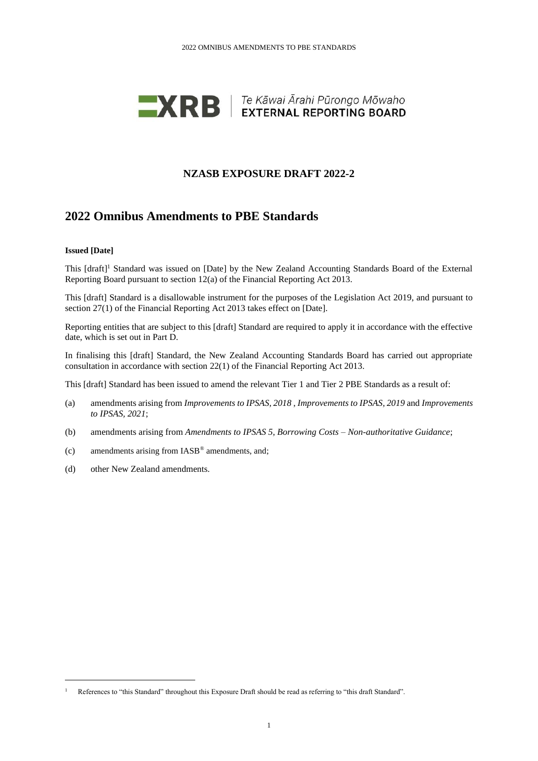

# **NZASB EXPOSURE DRAFT 2022-2**

# **2022 Omnibus Amendments to PBE Standards**

#### **Issued [Date]**

This [draft]<sup>1</sup> Standard was issued on [Date] by the New Zealand Accounting Standards Board of the External Reporting Board pursuant to section 12(a) of the Financial Reporting Act 2013.

This [draft] Standard is a disallowable instrument for the purposes of the Legislation Act 2019, and pursuant to section 27(1) of the Financial Reporting Act 2013 takes effect on [Date].

Reporting entities that are subject to this [draft] Standard are required to apply it in accordance with the effective date, which is set out in Part D.

In finalising this [draft] Standard, the New Zealand Accounting Standards Board has carried out appropriate consultation in accordance with section 22(1) of the Financial Reporting Act 2013.

This [draft] Standard has been issued to amend the relevant Tier 1 and Tier 2 PBE Standards as a result of:

- (a) amendments arising from *Improvements to IPSAS, 2018* , *Improvements to IPSAS, 2019* and *Improvements to IPSAS, 2021*;
- (b) amendments arising from *Amendments to IPSAS 5, Borrowing Costs – Non-authoritative Guidance*;
- $(c)$  amendments arising from  $IASB^@$  amendments, and;
- (d) other New Zealand amendments.

<sup>&</sup>lt;sup>1</sup> References to "this Standard" throughout this Exposure Draft should be read as referring to "this draft Standard".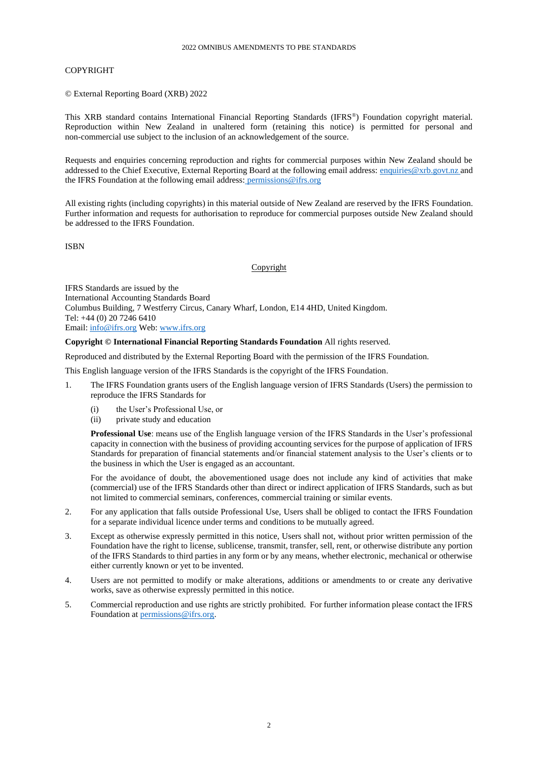#### COPYRIGHT

© External Reporting Board (XRB) 2022

This XRB standard contains International Financial Reporting Standards (IFRS® ) Foundation copyright material. Reproduction within New Zealand in unaltered form (retaining this notice) is permitted for personal and non-commercial use subject to the inclusion of an acknowledgement of the source.

Requests and enquiries concerning reproduction and rights for commercial purposes within New Zealand should be addressed to the Chief Executive, External Reporting Board at the following email address: [enquiries@xrb.govt.nz](mailto:enquiries@xrb.govt.nz) and the IFRS Foundation at the following email address: permissions@ifrs.org

All existing rights (including copyrights) in this material outside of New Zealand are reserved by the IFRS Foundation. Further information and requests for authorisation to reproduce for commercial purposes outside New Zealand should be addressed to the IFRS Foundation.

ISBN

#### Copyright

IFRS Standards are issued by the International Accounting Standards Board Columbus Building, 7 Westferry Circus, Canary Wharf, London, E14 4HD, United Kingdom. Tel: +44 (0) 20 7246 6410 Email[: info@ifrs.org](mailto:info@ifrs.org) Web: [www.ifrs.org](http://www.ifrs.org/)

#### **Copyright © International Financial Reporting Standards Foundation** All rights reserved.

Reproduced and distributed by the External Reporting Board with the permission of the IFRS Foundation.

This English language version of the IFRS Standards is the copyright of the IFRS Foundation.

- 1. The IFRS Foundation grants users of the English language version of IFRS Standards (Users) the permission to reproduce the IFRS Standards for
	- (i) the User's Professional Use, or
	- (ii) private study and education

**Professional Use**: means use of the English language version of the IFRS Standards in the User's professional capacity in connection with the business of providing accounting services for the purpose of application of IFRS Standards for preparation of financial statements and/or financial statement analysis to the User's clients or to the business in which the User is engaged as an accountant.

For the avoidance of doubt, the abovementioned usage does not include any kind of activities that make (commercial) use of the IFRS Standards other than direct or indirect application of IFRS Standards, such as but not limited to commercial seminars, conferences, commercial training or similar events.

- 2. For any application that falls outside Professional Use, Users shall be obliged to contact the IFRS Foundation for a separate individual licence under terms and conditions to be mutually agreed.
- 3. Except as otherwise expressly permitted in this notice, Users shall not, without prior written permission of the Foundation have the right to license, sublicense, transmit, transfer, sell, rent, or otherwise distribute any portion of the IFRS Standards to third parties in any form or by any means, whether electronic, mechanical or otherwise either currently known or yet to be invented.
- 4. Users are not permitted to modify or make alterations, additions or amendments to or create any derivative works, save as otherwise expressly permitted in this notice.
- 5. Commercial reproduction and use rights are strictly prohibited. For further information please contact the IFRS Foundation at [permissions@ifrs.org.](mailto:permissions@ifrs.org)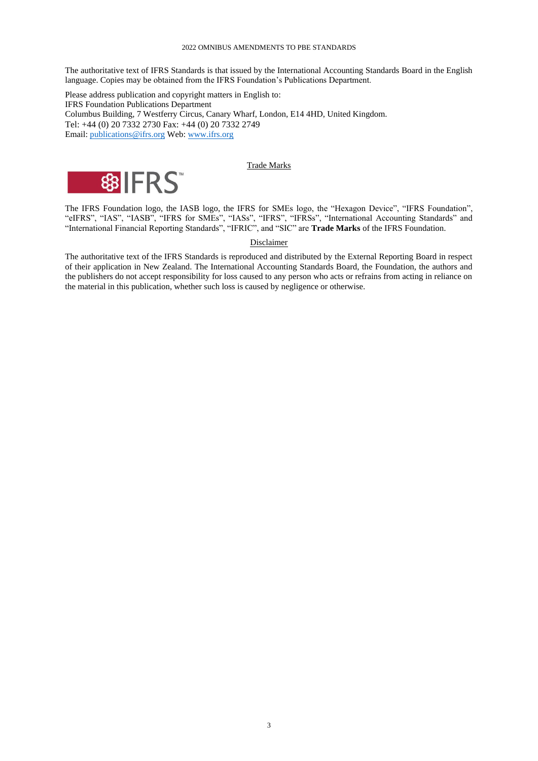The authoritative text of IFRS Standards is that issued by the International Accounting Standards Board in the English language. Copies may be obtained from the IFRS Foundation's Publications Department.

Please address publication and copyright matters in English to: IFRS Foundation Publications Department Columbus Building, 7 Westferry Circus, Canary Wharf, London, E14 4HD, United Kingdom. Tel: +44 (0) 20 7332 2730 Fax: +44 (0) 20 7332 2749 Email[: publications@ifrs.org](mailto:publications@ifrs.org) Web: [www.ifrs.org](http://www.ifrs.org/)

#### Trade Marks



The IFRS Foundation logo, the IASB logo, the IFRS for SMEs logo, the "Hexagon Device", "IFRS Foundation", "eIFRS", "IAS", "IASB", "IFRS for SMEs", "IASs", "IFRS", "IFRSs", "International Accounting Standards" and "International Financial Reporting Standards", "IFRIC", and "SIC" are **Trade Marks** of the IFRS Foundation.

#### Disclaimer

The authoritative text of the IFRS Standards is reproduced and distributed by the External Reporting Board in respect of their application in New Zealand. The International Accounting Standards Board, the Foundation, the authors and the publishers do not accept responsibility for loss caused to any person who acts or refrains from acting in reliance on the material in this publication, whether such loss is caused by negligence or otherwise.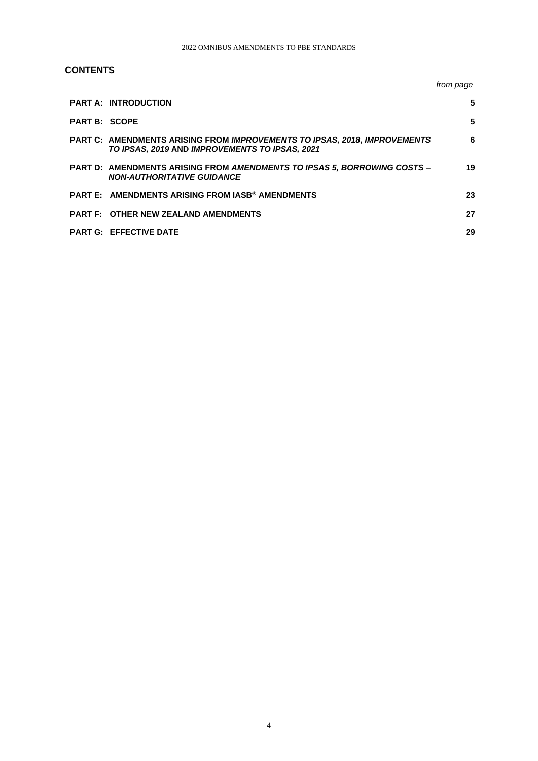# **CONTENTS**

|                      |                                                                                                                                    | from page |
|----------------------|------------------------------------------------------------------------------------------------------------------------------------|-----------|
|                      | <b>PART A: INTRODUCTION</b>                                                                                                        | 5         |
| <b>PART B: SCOPE</b> |                                                                                                                                    | 5         |
|                      | <b>PART C: AMENDMENTS ARISING FROM IMPROVEMENTS TO IPSAS, 2018, IMPROVEMENTS</b><br>TO IPSAS, 2019 AND IMPROVEMENTS TO IPSAS, 2021 | 6         |
|                      | <b>PART D: AMENDMENTS ARISING FROM AMENDMENTS TO IPSAS 5. BORROWING COSTS -</b><br><b>NON-AUTHORITATIVE GUIDANCE</b>               | 19        |
|                      | <b>PART E: AMENDMENTS ARISING FROM IASB® AMENDMENTS</b>                                                                            | 23        |
|                      | <b>PART F: OTHER NEW ZEALAND AMENDMENTS</b>                                                                                        | 27        |
|                      | <b>PART G: EFFECTIVE DATE</b>                                                                                                      | 29        |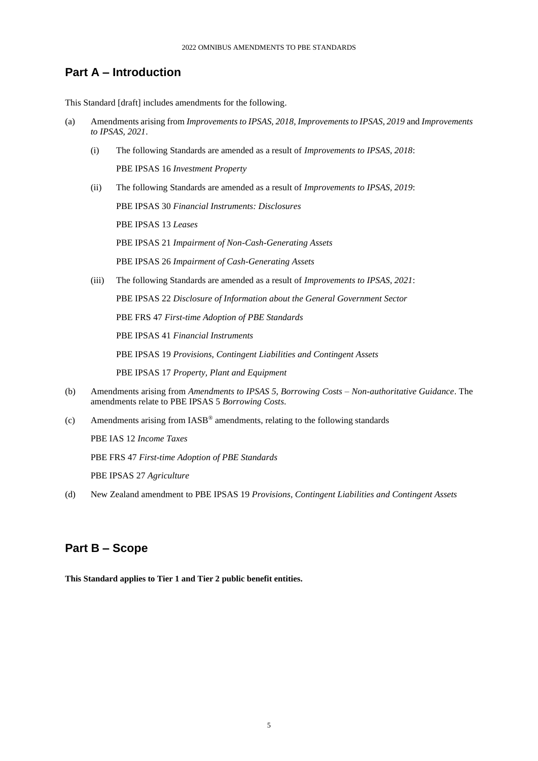# **Part A – Introduction**

This Standard [draft] includes amendments for the following.

- (a) Amendments arising from *Improvements to IPSAS, 2018, Improvements to IPSAS, 2019* and *Improvements to IPSAS, 2021*.
	- (i) The following Standards are amended as a result of *Improvements to IPSAS, 2018*: PBE IPSAS 16 *Investment Property*
	- (ii) The following Standards are amended as a result of *Improvements to IPSAS, 2019*:

PBE IPSAS 30 *Financial Instruments: Disclosures*

PBE IPSAS 13 *Leases*

PBE IPSAS 21 *Impairment of Non-Cash-Generating Assets*

PBE IPSAS 26 *Impairment of Cash-Generating Assets*

- (iii) The following Standards are amended as a result of *Improvements to IPSAS, 2021*: PBE IPSAS 22 *Disclosure of Information about the General Government Sector* PBE FRS 47 *First-time Adoption of PBE Standards* PBE IPSAS 41 *Financial Instruments* PBE IPSAS 19 *Provisions, Contingent Liabilities and Contingent Assets* PBE IPSAS 17 *Property, Plant and Equipment*
- (b) Amendments arising from *Amendments to IPSAS 5, Borrowing Costs – Non-authoritative Guidance*. The amendments relate to PBE IPSAS 5 *Borrowing Costs*.
- (c) Amendments arising from IASB® amendments, relating to the following standards

PBE IAS 12 *Income Taxes*

PBE FRS 47 *First-time Adoption of PBE Standards*

PBE IPSAS 27 *Agriculture*

(d) New Zealand amendment to PBE IPSAS 19 *Provisions, Contingent Liabilities and Contingent Assets*

# **Part B – Scope**

**This Standard applies to Tier 1 and Tier 2 public benefit entities.**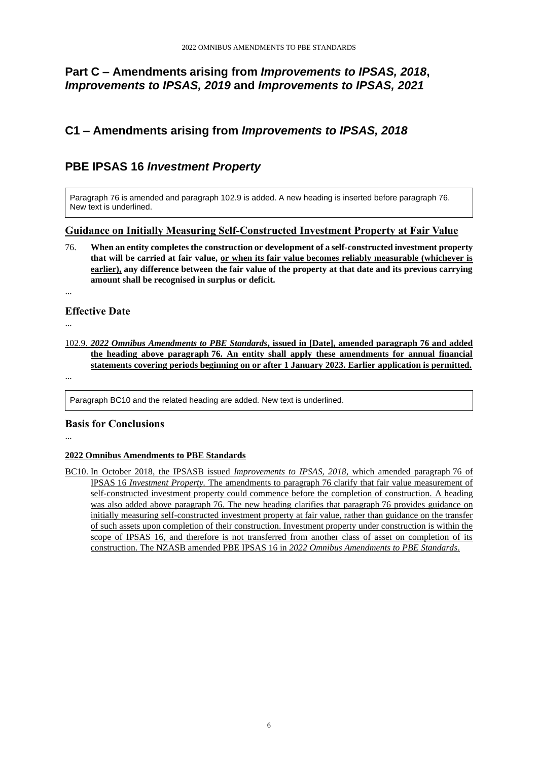# **Part C – Amendments arising from** *Improvements to IPSAS, 2018***,**  *Improvements to IPSAS, 2019* **and** *Improvements to IPSAS, 2021*

# **C1 – Amendments arising from** *Improvements to IPSAS, 2018*

# **PBE IPSAS 16** *Investment Property*

Paragraph 76 is amended and paragraph 102.9 is added. A new heading is inserted before paragraph 76. New text is underlined.

# **Guidance on Initially Measuring Self-Constructed Investment Property at Fair Value**

76. **When an entity completes the construction or development of a self-constructed investment property that will be carried at fair value, or when its fair value becomes reliably measurable (whichever is earlier), any difference between the fair value of the property at that date and its previous carrying amount shall be recognised in surplus or deficit.**

…

# **Effective Date**

…

102.9. *2022 Omnibus Amendments to PBE Standards***, issued in [Date], amended paragraph 76 and added the heading above paragraph 76. An entity shall apply these amendments for annual financial statements covering periods beginning on or after 1 January 2023. Earlier application is permitted.**

…

Paragraph BC10 and the related heading are added. New text is underlined.

# **Basis for Conclusions**

…

# **2022 Omnibus Amendments to PBE Standards**

BC10. In October 2018, the IPSASB issued *Improvements to IPSAS, 2018*, which amended paragraph 76 of IPSAS 16 *Investment Property.* The amendments to paragraph 76 clarify that fair value measurement of self-constructed investment property could commence before the completion of construction. A heading was also added above paragraph 76. The new heading clarifies that paragraph 76 provides guidance on initially measuring self-constructed investment property at fair value, rather than guidance on the transfer of such assets upon completion of their construction. Investment property under construction is within the scope of IPSAS 16, and therefore is not transferred from another class of asset on completion of its construction. The NZASB amended PBE IPSAS 16 in *2022 Omnibus Amendments to PBE Standards*.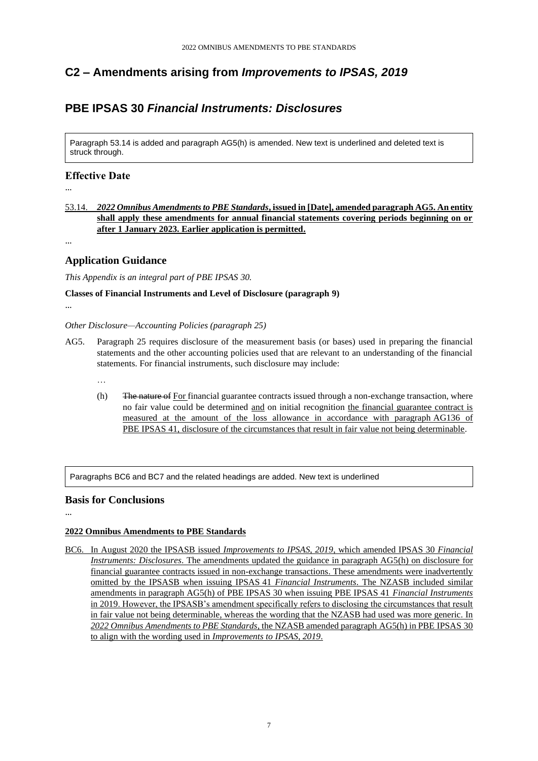# **C2 – Amendments arising from** *Improvements to IPSAS, 2019*

# **PBE IPSAS 30** *Financial Instruments: Disclosures*

Paragraph 53.14 is added and paragraph AG5(h) is amended. New text is underlined and deleted text is struck through.

## **Effective Date**

53.14. *2022 Omnibus Amendments to PBE Standards***, issued in [Date], amended paragraph AG5. An entity shall apply these amendments for annual financial statements covering periods beginning on or after 1 January 2023. Earlier application is permitted.**

…

…

# **Application Guidance**

*This Appendix is an integral part of PBE IPSAS 30.* 

**Classes of Financial Instruments and Level of Disclosure (paragraph 9)**

…

*Other Disclosure—Accounting Policies (paragraph 25)*

- AG5. Paragraph 25 requires disclosure of the measurement basis (or bases) used in preparing the financial statements and the other accounting policies used that are relevant to an understanding of the financial statements. For financial instruments, such disclosure may include:
	- …
	- (h) The nature of For financial guarantee contracts issued through a non-exchange transaction, where no fair value could be determined and on initial recognition the financial guarantee contract is measured at the amount of the loss allowance in accordance with paragraph AG136 of PBE IPSAS 41, disclosure of the circumstances that result in fair value not being determinable.

Paragraphs BC6 and BC7 and the related headings are added. New text is underlined

## **Basis for Conclusions**

…

## **2022 Omnibus Amendments to PBE Standards**

BC6. In August 2020 the IPSASB issued *Improvements to IPSAS, 2019*, which amended IPSAS 30 *Financial Instruments: Disclosures*. The amendments updated the guidance in paragraph AG5(h) on disclosure for financial guarantee contracts issued in non-exchange transactions. These amendments were inadvertently omitted by the IPSASB when issuing IPSAS 41 *Financial Instruments*. The NZASB included similar amendments in paragraph AG5(h) of PBE IPSAS 30 when issuing PBE IPSAS 41 *Financial Instruments* in 2019. However, the IPSASB's amendment specifically refers to disclosing the circumstances that result in fair value not being determinable, whereas the wording that the NZASB had used was more generic. In *2022 Omnibus Amendments to PBE Standards*, the NZASB amended paragraph AG5(h) in PBE IPSAS 30 to align with the wording used in *Improvements to IPSAS, 2019.*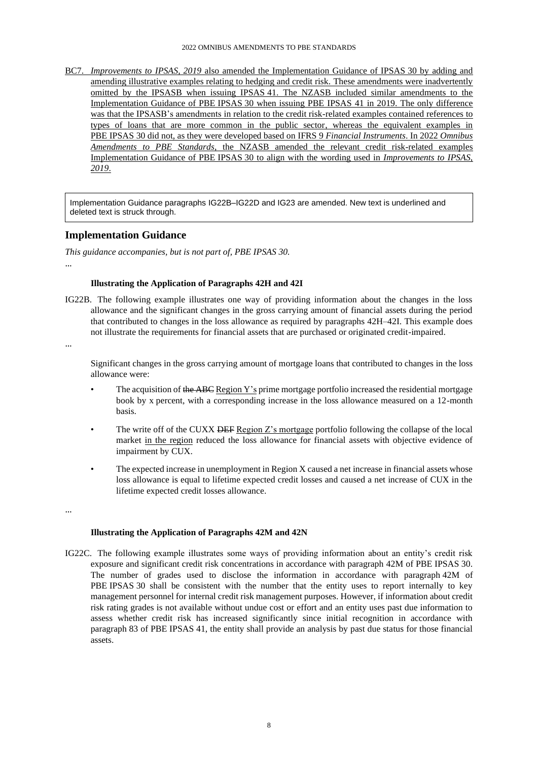BC7. *Improvements to IPSAS, 2019* also amended the Implementation Guidance of IPSAS 30 by adding and amending illustrative examples relating to hedging and credit risk. These amendments were inadvertently omitted by the IPSASB when issuing IPSAS 41. The NZASB included similar amendments to the Implementation Guidance of PBE IPSAS 30 when issuing PBE IPSAS 41 in 2019. The only difference was that the IPSASB's amendments in relation to the credit risk-related examples contained references to types of loans that are more common in the public sector, whereas the equivalent examples in PBE IPSAS 30 did not, as they were developed based on IFRS 9 *Financial Instruments*. In 2022 *Omnibus Amendments to PBE Standards*, the NZASB amended the relevant credit risk-related examples Implementation Guidance of PBE IPSAS 30 to align with the wording used in *Improvements to IPSAS, 2019*.

Implementation Guidance paragraphs IG22B–IG22D and IG23 are amended. New text is underlined and deleted text is struck through.

## **Implementation Guidance**

*This guidance accompanies, but is not part of, PBE IPSAS 30.*

…

#### **Illustrating the Application of Paragraphs 42H and 42I**

IG22B. The following example illustrates one way of providing information about the changes in the loss allowance and the significant changes in the gross carrying amount of financial assets during the period that contributed to changes in the loss allowance as required by paragraphs 42H–42I. This example does not illustrate the requirements for financial assets that are purchased or originated credit-impaired.

…

Significant changes in the gross carrying amount of mortgage loans that contributed to changes in the loss allowance were:

- The acquisition of the ABC Region Y's prime mortgage portfolio increased the residential mortgage book by x percent, with a corresponding increase in the loss allowance measured on a 12-month basis.
- The write off of the CUXX DEF Region Z's mortgage portfolio following the collapse of the local market in the region reduced the loss allowance for financial assets with objective evidence of impairment by CUX.
- The expected increase in unemployment in Region X caused a net increase in financial assets whose loss allowance is equal to lifetime expected credit losses and caused a net increase of CUX in the lifetime expected credit losses allowance.

…

#### **Illustrating the Application of Paragraphs 42M and 42N**

IG22C. The following example illustrates some ways of providing information about an entity's credit risk exposure and significant credit risk concentrations in accordance with paragraph 42M of PBE IPSAS 30. The number of grades used to disclose the information in accordance with paragraph 42M of PBE IPSAS 30 shall be consistent with the number that the entity uses to report internally to key management personnel for internal credit risk management purposes. However, if information about credit risk rating grades is not available without undue cost or effort and an entity uses past due information to assess whether credit risk has increased significantly since initial recognition in accordance with paragraph 83 of PBE IPSAS 41, the entity shall provide an analysis by past due status for those financial assets.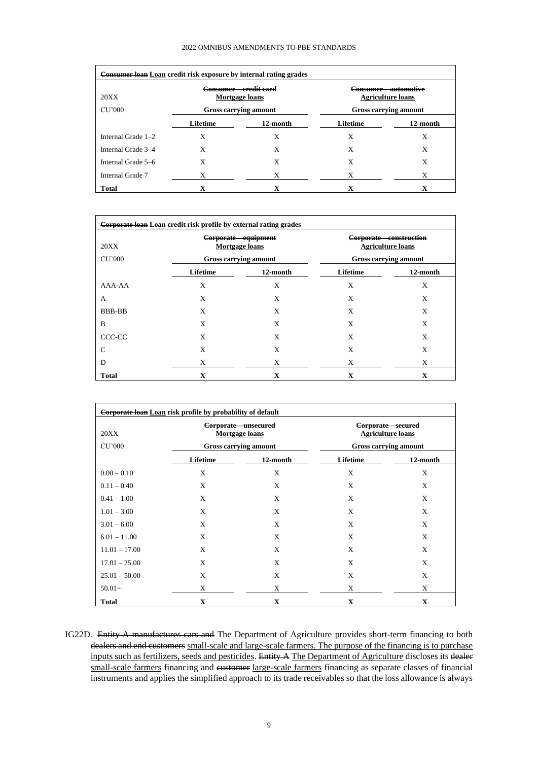| <b>Consumer loan Loan credit risk exposure by internal rating grades</b> |                                                                        |          |                                                                                     |          |  |
|--------------------------------------------------------------------------|------------------------------------------------------------------------|----------|-------------------------------------------------------------------------------------|----------|--|
| 20XX<br>$CU$ <sup>000</sup>                                              | Consumer—credit card<br>Mortgage loans<br><b>Gross carrying amount</b> |          | <del>Consumer—automotive</del><br><b>Agriculture loans</b><br>Gross carrying amount |          |  |
|                                                                          | Lifetime                                                               | 12-month | <b>Lifetime</b>                                                                     | 12-month |  |
| Internal Grade $1-2$                                                     | X                                                                      | X        | X                                                                                   | X        |  |
| Internal Grade 3-4                                                       | X                                                                      | X        | X                                                                                   | X        |  |
| Internal Grade 5–6                                                       | X                                                                      | Х        | X                                                                                   | X        |  |
| Internal Grade 7                                                         | X                                                                      | X        | X                                                                                   | X        |  |
| <b>Total</b>                                                             |                                                                        |          |                                                                                     |          |  |

| Corporate loan Loan credit risk profile by external rating grades |                                                                              |          |                                                                                    |          |  |
|-------------------------------------------------------------------|------------------------------------------------------------------------------|----------|------------------------------------------------------------------------------------|----------|--|
| 20XX<br>CU'000                                                    | Corporate equipment<br><b>Mortgage loans</b><br><b>Gross carrying amount</b> |          | Corporate construction<br><b>Agriculture loans</b><br><b>Gross carrying amount</b> |          |  |
|                                                                   | Lifetime                                                                     | 12-month | Lifetime                                                                           | 12-month |  |
| AAA-AA                                                            | X                                                                            | X        | X                                                                                  | X        |  |
| A                                                                 | X                                                                            | X        | X                                                                                  | X        |  |
| BBB-BB                                                            | X                                                                            | X        | X                                                                                  | X        |  |
| B                                                                 | X                                                                            | X        | X                                                                                  | X        |  |
| CCC-CC                                                            | X                                                                            | X        | X                                                                                  | X        |  |
| C                                                                 | X                                                                            | X        | X                                                                                  | X        |  |
| D                                                                 | X                                                                            | X        | X                                                                                  | X        |  |
| <b>Total</b>                                                      | X                                                                            | X        | X                                                                                  | X        |  |

| Corporate loan Loan risk profile by probability of default |                                       |             |                                               |             |  |  |
|------------------------------------------------------------|---------------------------------------|-------------|-----------------------------------------------|-------------|--|--|
| 20XX                                                       | Corporate-unsecured<br>Mortgage loans |             | Corporate-secured<br><b>Agriculture loans</b> |             |  |  |
| CU'000                                                     | <b>Gross carrying amount</b>          |             | <b>Gross carrying amount</b>                  |             |  |  |
|                                                            | Lifetime                              | 12-month    | Lifetime                                      | 12-month    |  |  |
| $0.00 - 0.10$                                              | X                                     | X           | X                                             | X           |  |  |
| $0.11 - 0.40$                                              | X                                     | X           | X                                             | X           |  |  |
| $0.41 - 1.00$                                              | X                                     | X           | X                                             | X           |  |  |
| $1.01 - 3.00$                                              | X                                     | X           | X                                             | X           |  |  |
| $3.01 - 6.00$                                              | X                                     | X           | X                                             | X           |  |  |
| $6.01 - 11.00$                                             | X                                     | X           | X                                             | X           |  |  |
| $11.01 - 17.00$                                            | X                                     | X           | X                                             | X           |  |  |
| $17.01 - 25.00$                                            | X                                     | X           | X                                             | X           |  |  |
| $25.01 - 50.00$                                            | X                                     | X           | X                                             | X           |  |  |
| $50.01+$                                                   | X                                     | X           | X                                             | X           |  |  |
| <b>Total</b>                                               | $\mathbf X$                           | $\mathbf X$ | X                                             | $\mathbf X$ |  |  |

IG22D. Entity A manufactures cars and The Department of Agriculture provides short-term financing to both dealers and end customers small-scale and large-scale farmers. The purpose of the financing is to purchase inputs such as fertilizers, seeds and pesticides. Entity A The Department of Agriculture discloses its dealer small-scale farmers financing and customer large-scale farmers financing as separate classes of financial instruments and applies the simplified approach to its trade receivables so that the loss allowance is always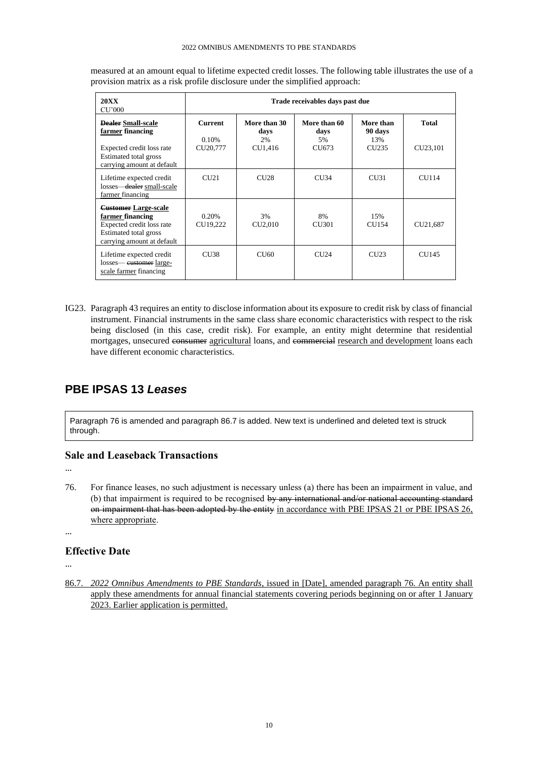| <b>20XX</b><br>CU'000                                                                                                                    | Trade receivables days past due     |                                       |                                     |                                                  |                                        |
|------------------------------------------------------------------------------------------------------------------------------------------|-------------------------------------|---------------------------------------|-------------------------------------|--------------------------------------------------|----------------------------------------|
| <b>Dealer Small-scale</b><br>farmer financing<br>Expected credit loss rate<br><b>Estimated total gross</b><br>carrying amount at default | <b>Current</b><br>0.10%<br>CU20,777 | More than 30<br>days<br>2%<br>CU1,416 | More than 60<br>days<br>5%<br>CU673 | More than<br>90 days<br>13%<br>CU <sub>235</sub> | <b>Total</b><br>CU <sub>23</sub> , 101 |
| Lifetime expected credit<br>losses-dealer small-scale<br>farmer financing                                                                | CLJ21                               | <b>CU28</b>                           | CU <sub>34</sub>                    | <b>CU31</b>                                      | CU114                                  |
| <b>Customer Large-scale</b><br>farmer financing<br>Expected credit loss rate<br>Estimated total gross<br>carrying amount at default      | 0.20%<br>CU19,222                   | 3%<br>CU <sub>2</sub> ,010            | 8%<br><b>CU301</b>                  | 15%<br>CU154                                     | CU21,687                               |
| Lifetime expected credit<br>losses— customer large-<br>scale farmer financing                                                            | CU38                                | CU60                                  | CU <sub>24</sub>                    | CU <sub>23</sub>                                 | CU145                                  |

measured at an amount equal to lifetime expected credit losses. The following table illustrates the use of a provision matrix as a risk profile disclosure under the simplified approach:

IG23. Paragraph 43 requires an entity to disclose information about its exposure to credit risk by class of financial instrument. Financial instruments in the same class share economic characteristics with respect to the risk being disclosed (in this case, credit risk). For example, an entity might determine that residential mortgages, unsecured consumer agricultural loans, and commercial research and development loans each have different economic characteristics.

# **PBE IPSAS 13** *Leases*

Paragraph 76 is amended and paragraph 86.7 is added. New text is underlined and deleted text is struck through.

# **Sale and Leaseback Transactions**

…

76. For finance leases, no such adjustment is necessary unless (a) there has been an impairment in value, and (b) that impairment is required to be recognised by any international and/or national accounting standard on impairment that has been adopted by the entity in accordance with PBE IPSAS 21 or PBE IPSAS 26, where appropriate.

…

# **Effective Date**

…

86.7. *2022 Omnibus Amendments to PBE Standards*, issued in [Date], amended paragraph 76. An entity shall apply these amendments for annual financial statements covering periods beginning on or after 1 January 2023. Earlier application is permitted.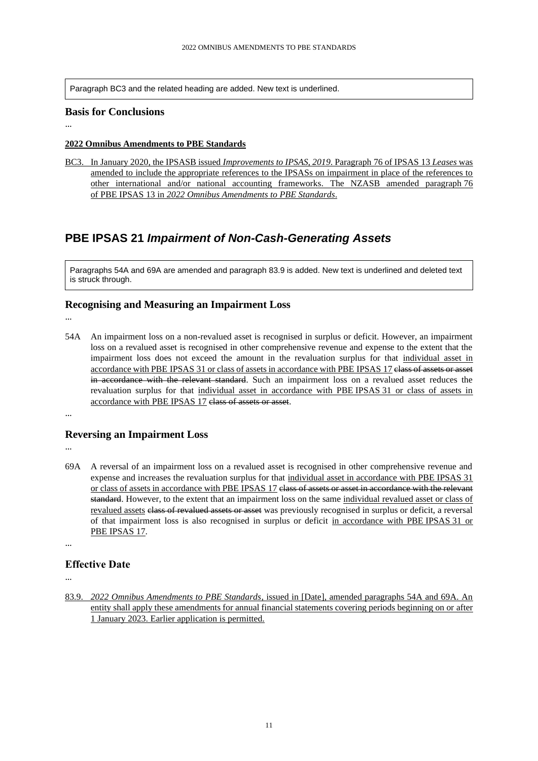Paragraph BC3 and the related heading are added. New text is underlined.

### **Basis for Conclusions**

…

#### **2022 Omnibus Amendments to PBE Standards**

BC3. In January 2020, the IPSASB issued *Improvements to IPSAS, 2019*. Paragraph 76 of IPSAS 13 *Leases* was amended to include the appropriate references to the IPSASs on impairment in place of the references to other international and/or national accounting frameworks*.* The NZASB amended paragraph 76 of PBE IPSAS 13 in *2022 Omnibus Amendments to PBE Standards*.

# **PBE IPSAS 21** *Impairment of Non-Cash-Generating Assets*

Paragraphs 54A and 69A are amended and paragraph 83.9 is added. New text is underlined and deleted text is struck through.

#### **Recognising and Measuring an Impairment Loss**

…

- 54A An impairment loss on a non-revalued asset is recognised in surplus or deficit. However, an impairment loss on a revalued asset is recognised in other comprehensive revenue and expense to the extent that the impairment loss does not exceed the amount in the revaluation surplus for that individual asset in accordance with PBE IPSAS 31 or class of assets in accordance with PBE IPSAS 17 class of assets or asset in accordance with the relevant standard. Such an impairment loss on a revalued asset reduces the revaluation surplus for that individual asset in accordance with PBE IPSAS 31 or class of assets in accordance with PBE IPSAS 17 class of assets or asset.
- …

## **Reversing an Impairment Loss**

…

- 69A A reversal of an impairment loss on a revalued asset is recognised in other comprehensive revenue and expense and increases the revaluation surplus for that individual asset in accordance with PBE IPSAS 31 or class of assets in accordance with PBE IPSAS 17 class of assets or asset in accordance with the relevant standard. However, to the extent that an impairment loss on the same individual revalued asset or class of revalued assets class of revalued assets or asset was previously recognised in surplus or deficit, a reversal of that impairment loss is also recognised in surplus or deficit in accordance with PBE IPSAS 31 or PBE IPSAS 17.
- …

## **Effective Date**

…

83.9. *2022 Omnibus Amendments to PBE Standards*, issued in [Date], amended paragraphs 54A and 69A. An entity shall apply these amendments for annual financial statements covering periods beginning on or after 1 January 2023. Earlier application is permitted.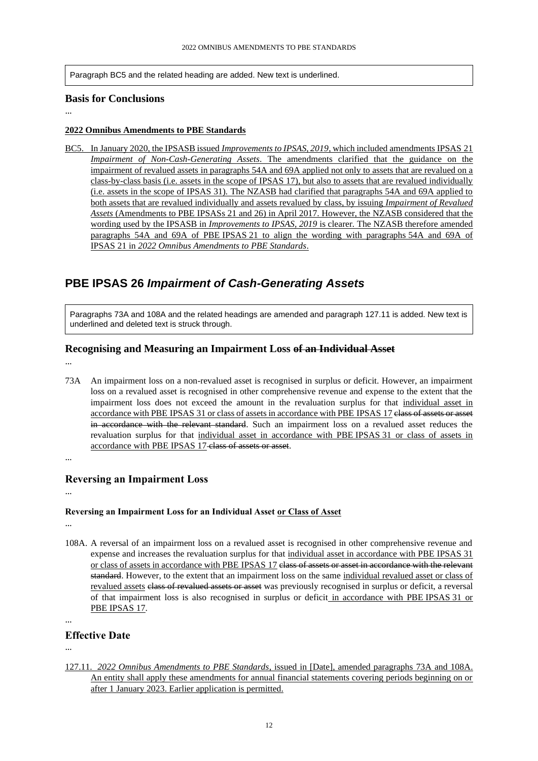Paragraph BC5 and the related heading are added. New text is underlined.

#### **Basis for Conclusions**

…

#### **2022 Omnibus Amendments to PBE Standards**

BC5. In January 2020, the IPSASB issued *Improvements to IPSAS, 2019*, which included amendments IPSAS 21 *Impairment of Non-Cash-Generating Assets*. The amendments clarified that the guidance on the impairment of revalued assets in paragraphs 54A and 69A applied not only to assets that are revalued on a class-by-class basis (i.e. assets in the scope of IPSAS 17), but also to assets that are revalued individually (i.e. assets in the scope of IPSAS 31)*.* The NZASB had clarified that paragraphs 54A and 69A applied to both assets that are revalued individually and assets revalued by class, by issuing *Impairment of Revalued Assets* (Amendments to PBE IPSASs 21 and 26) in April 2017. However, the NZASB considered that the wording used by the IPSASB in *Improvements to IPSAS, 2019* is clearer*.* The NZASB therefore amended paragraphs 54A and 69A of PBE IPSAS 21 to align the wording with paragraphs 54A and 69A of IPSAS 21 in *2022 Omnibus Amendments to PBE Standards*.

# **PBE IPSAS 26** *Impairment of Cash-Generating Assets*

Paragraphs 73A and 108A and the related headings are amended and paragraph 127.11 is added. New text is underlined and deleted text is struck through.

# **Recognising and Measuring an Impairment Loss of an Individual Asset**

- 73A An impairment loss on a non-revalued asset is recognised in surplus or deficit. However, an impairment loss on a revalued asset is recognised in other comprehensive revenue and expense to the extent that the impairment loss does not exceed the amount in the revaluation surplus for that individual asset in accordance with PBE IPSAS 31 or class of assets in accordance with PBE IPSAS 17 class of assets or asset in accordance with the relevant standard. Such an impairment loss on a revalued asset reduces the revaluation surplus for that individual asset in accordance with PBE IPSAS 31 or class of assets in accordance with PBE IPSAS 17-class of assets or asset.
- …

…

## **Reversing an Impairment Loss**

…

## **Reversing an Impairment Loss for an Individual Asset or Class of Asset**

…

108A. A reversal of an impairment loss on a revalued asset is recognised in other comprehensive revenue and expense and increases the revaluation surplus for that individual asset in accordance with PBE IPSAS 31 or class of assets in accordance with PBE IPSAS 17 class of assets or asset in accordance with the relevant standard. However, to the extent that an impairment loss on the same individual revalued asset or class of revalued assets class of revalued assets or asset was previously recognised in surplus or deficit, a reversal of that impairment loss is also recognised in surplus or deficit in accordance with PBE IPSAS 31 or PBE IPSAS 17.

…

## **Effective Date**

…

127.11. *2022 Omnibus Amendments to PBE Standards*, issued in [Date], amended paragraphs 73A and 108A. An entity shall apply these amendments for annual financial statements covering periods beginning on or after 1 January 2023. Earlier application is permitted.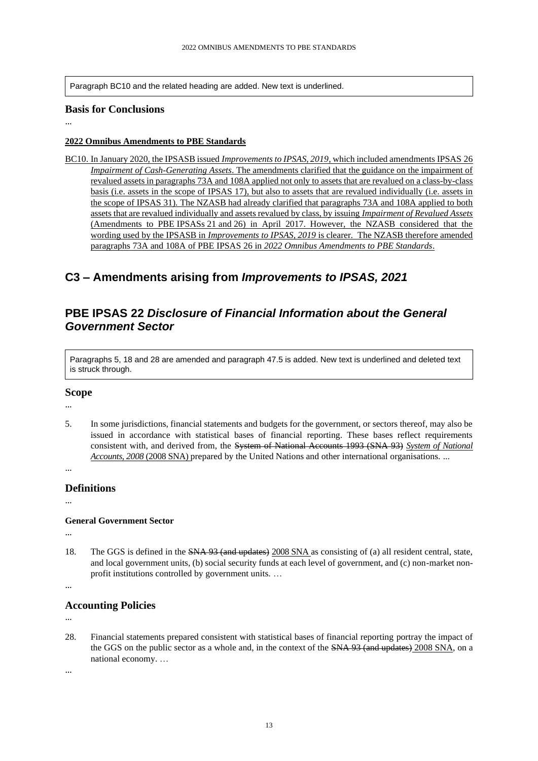Paragraph BC10 and the related heading are added. New text is underlined.

# **Basis for Conclusions**

…

#### **2022 Omnibus Amendments to PBE Standards**

BC10. In January 2020, the IPSASB issued *Improvements to IPSAS, 2019*, which included amendments IPSAS 26 *Impairment of Cash-Generating Assets*. The amendments clarified that the guidance on the impairment of revalued assets in paragraphs 73A and 108A applied not only to assets that are revalued on a class-by-class basis (i.e. assets in the scope of IPSAS 17), but also to assets that are revalued individually (i.e. assets in the scope of IPSAS 31)*.* The NZASB had already clarified that paragraphs 73A and 108A applied to both assets that are revalued individually and assets revalued by class, by issuing *Impairment of Revalued Assets*  (Amendments to PBE IPSASs 21 and 26) in April 2017. However, the NZASB considered that the wording used by the IPSASB in *Improvements to IPSAS, 2019* is clearer*.* The NZASB therefore amended paragraphs 73A and 108A of PBE IPSAS 26 in *2022 Omnibus Amendments to PBE Standards*.

# **C3 – Amendments arising from** *Improvements to IPSAS, 2021*

# **PBE IPSAS 22** *Disclosure of Financial Information about the General Government Sector*

Paragraphs 5, 18 and 28 are amended and paragraph 47.5 is added. New text is underlined and deleted text is struck through.

#### **Scope**

…

5. In some jurisdictions, financial statements and budgets for the government, or sectors thereof, may also be issued in accordance with statistical bases of financial reporting. These bases reflect requirements consistent with, and derived from, the System of National Accounts 1993 (SNA 93) *System of National Accounts, 2008* (2008 SNA) prepared by the United Nations and other international organisations. ...

…

## **Definitions**

…

## **General Government Sector**

- …
- 18. The GGS is defined in the SNA 93 (and updates) 2008 SNA as consisting of (a) all resident central, state, and local government units, (b) social security funds at each level of government, and (c) non-market nonprofit institutions controlled by government units. …

…

## **Accounting Policies**

…

28. Financial statements prepared consistent with statistical bases of financial reporting portray the impact of the GGS on the public sector as a whole and, in the context of the SNA 93 (and updates) 2008 SNA, on a national economy. …

…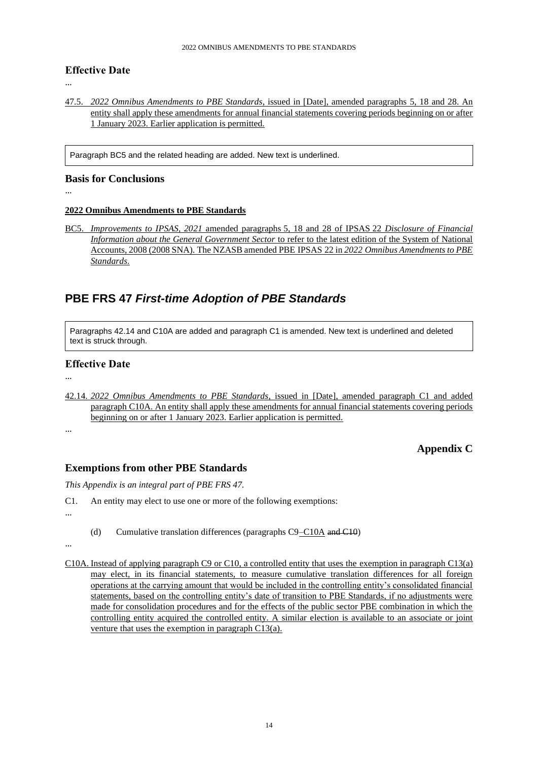# **Effective Date**

- …
- 47.5. *2022 Omnibus Amendments to PBE Standards*, issued in [Date], amended paragraphs 5, 18 and 28. An entity shall apply these amendments for annual financial statements covering periods beginning on or after 1 January 2023. Earlier application is permitted.

Paragraph BC5 and the related heading are added. New text is underlined.

### **Basis for Conclusions**

…

#### **2022 Omnibus Amendments to PBE Standards**

BC5. *Improvements to IPSAS, 2021* amended paragraphs 5, 18 and 28 of IPSAS 22 *Disclosure of Financial Information about the General Government Sector* to refer to the latest edition of the System of National Accounts, 2008 (2008 SNA)*.* The NZASB amended PBE IPSAS 22 in *2022 Omnibus Amendments to PBE Standards*.

# **PBE FRS 47** *First-time Adoption of PBE Standards*

Paragraphs 42.14 and C10A are added and paragraph C1 is amended. New text is underlined and deleted text is struck through.

# **Effective Date**

…

42.14. *2022 Omnibus Amendments to PBE Standards*, issued in [Date], amended paragraph C1 and added paragraph C10A. An entity shall apply these amendments for annual financial statements covering periods beginning on or after 1 January 2023. Earlier application is permitted.

…

**Appendix C**

# **Exemptions from other PBE Standards**

*This Appendix is an integral part of PBE FRS 47.*

C1. An entity may elect to use one or more of the following exemptions:

…

- (d) Cumulative translation differences (paragraphs  $C9 C10A$  and  $C10$ )
- …
- C10A. Instead of applying paragraph C9 or C10, a controlled entity that uses the exemption in paragraph C13(a) may elect, in its financial statements, to measure cumulative translation differences for all foreign operations at the carrying amount that would be included in the controlling entity's consolidated financial statements, based on the controlling entity's date of transition to PBE Standards, if no adjustments were made for consolidation procedures and for the effects of the public sector PBE combination in which the controlling entity acquired the controlled entity. A similar election is available to an associate or joint venture that uses the exemption in paragraph C13(a).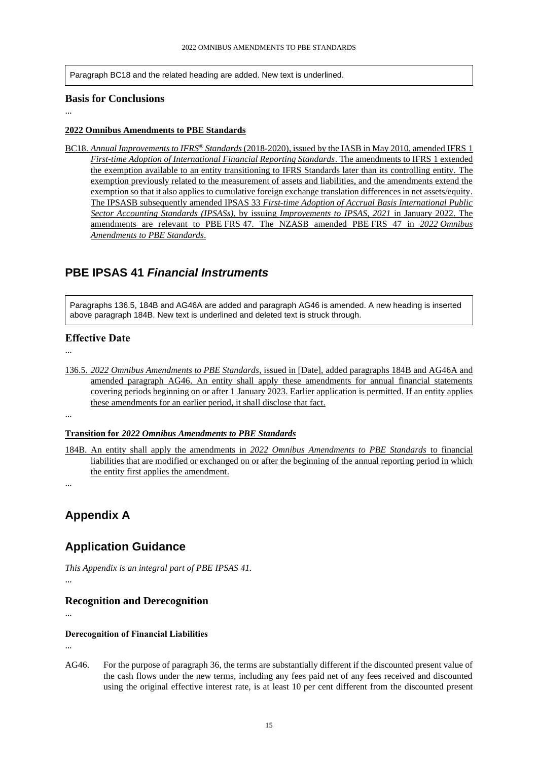Paragraph BC18 and the related heading are added. New text is underlined.

#### **Basis for Conclusions**

…

#### **2022 Omnibus Amendments to PBE Standards**

BC18. *Annual Improvements to IFRS® Standards* (2018-2020), issued by the IASB in May 2010, amended IFRS 1 *First-time Adoption of International Financial Reporting Standards*. The amendments to IFRS 1 extended the exemption available to an entity transitioning to IFRS Standards later than its controlling entity. The exemption previously related to the measurement of assets and liabilities, and the amendments extend the exemption so that it also applies to cumulative foreign exchange translation differences in net assets/equity. The IPSASB subsequently amended IPSAS 33 *First-time Adoption of Accrual Basis International Public Sector Accounting Standards (IPSASs)*, by issuing *Improvements to IPSAS, 2021* in January 2022. The amendments are relevant to PBE FRS 47. The NZASB amended PBE FRS 47 in *2022 Omnibus Amendments to PBE Standards*.

# **PBE IPSAS 41** *Financial Instruments*

Paragraphs 136.5, 184B and AG46A are added and paragraph AG46 is amended. A new heading is inserted above paragraph 184B. New text is underlined and deleted text is struck through.

#### **Effective Date**

…

136.5. *2022 Omnibus Amendments to PBE Standards*, issued in [Date], added paragraphs 184B and AG46A and amended paragraph AG46. An entity shall apply these amendments for annual financial statements covering periods beginning on or after 1 January 2023. Earlier application is permitted. If an entity applies these amendments for an earlier period, it shall disclose that fact.

…

#### **Transition for** *2022 Omnibus Amendments to PBE Standards*

184B. An entity shall apply the amendments in *2022 Omnibus Amendments to PBE Standards* to financial liabilities that are modified or exchanged on or after the beginning of the annual reporting period in which the entity first applies the amendment.

…

# **Appendix A**

# **Application Guidance**

```
This Appendix is an integral part of PBE IPSAS 41.
```
…

#### **Recognition and Derecognition**

…

#### **Derecognition of Financial Liabilities**

…

AG46. For the purpose of paragraph 36, the terms are substantially different if the discounted present value of the cash flows under the new terms, including any fees paid net of any fees received and discounted using the original effective interest rate, is at least 10 per cent different from the discounted present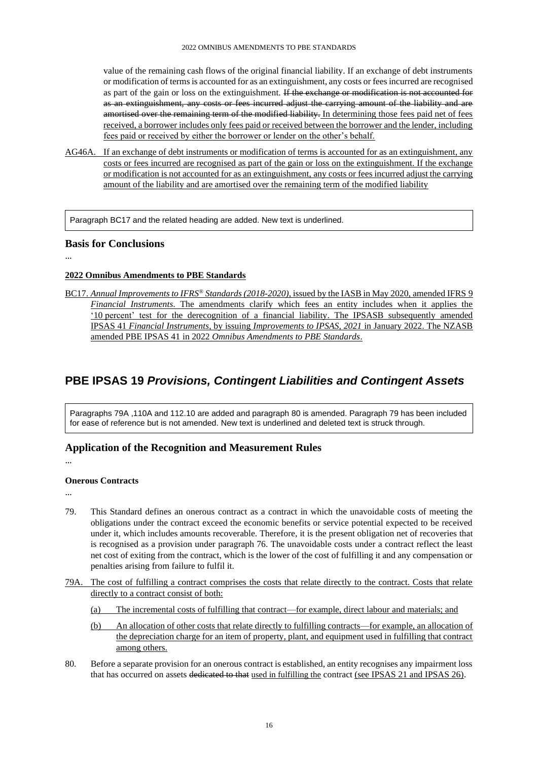value of the remaining cash flows of the original financial liability. If an exchange of debt instruments or modification of terms is accounted for as an extinguishment, any costs or fees incurred are recognised as part of the gain or loss on the extinguishment. If the exchange or modification is not accounted for as an extinguishment, any costs or fees incurred adjust the carrying amount of the liability and are amortised over the remaining term of the modified liability. In determining those fees paid net of fees received, a borrower includes only fees paid or received between the borrower and the lender, including fees paid or received by either the borrower or lender on the other's behalf.

AG46A. If an exchange of debt instruments or modification of terms is accounted for as an extinguishment, any costs or fees incurred are recognised as part of the gain or loss on the extinguishment. If the exchange or modification is not accounted for as an extinguishment, any costs or fees incurred adjust the carrying amount of the liability and are amortised over the remaining term of the modified liability

Paragraph BC17 and the related heading are added. New text is underlined.

# **Basis for Conclusions**

…

# **2022 Omnibus Amendments to PBE Standards**

BC17. *Annual Improvements to IFRS® Standards (2018-2020)*, issued by the IASB in May 2020, amended IFRS 9 *Financial Instruments*. The amendments clarify which fees an entity includes when it applies the '10 percent' test for the derecognition of a financial liability. The IPSASB subsequently amended IPSAS 41 *Financial Instruments*, by issuing *Improvements to IPSAS, 2021* in January 2022. The NZASB amended PBE IPSAS 41 in 2022 *Omnibus Amendments to PBE Standards*.

# **PBE IPSAS 19** *Provisions, Contingent Liabilities and Contingent Assets*

Paragraphs 79A ,110A and 112.10 are added and paragraph 80 is amended. Paragraph 79 has been included for ease of reference but is not amended. New text is underlined and deleted text is struck through.

# **Application of the Recognition and Measurement Rules**

…

## **Onerous Contracts**

- …
- 79. This Standard defines an onerous contract as a contract in which the unavoidable costs of meeting the obligations under the contract exceed the economic benefits or service potential expected to be received under it, which includes amounts recoverable. Therefore, it is the present obligation net of recoveries that is recognised as a provision under paragraph 76. The unavoidable costs under a contract reflect the least net cost of exiting from the contract, which is the lower of the cost of fulfilling it and any compensation or penalties arising from failure to fulfil it.
- 79A. The cost of fulfilling a contract comprises the costs that relate directly to the contract. Costs that relate directly to a contract consist of both:
	- (a) The incremental costs of fulfilling that contract—for example, direct labour and materials; and
	- (b) An allocation of other costs that relate directly to fulfilling contracts—for example, an allocation of the depreciation charge for an item of property, plant, and equipment used in fulfilling that contract among others.
- 80. Before a separate provision for an onerous contract is established, an entity recognises any impairment loss that has occurred on assets dedicated to that used in fulfilling the contract (see IPSAS 21 and IPSAS 26).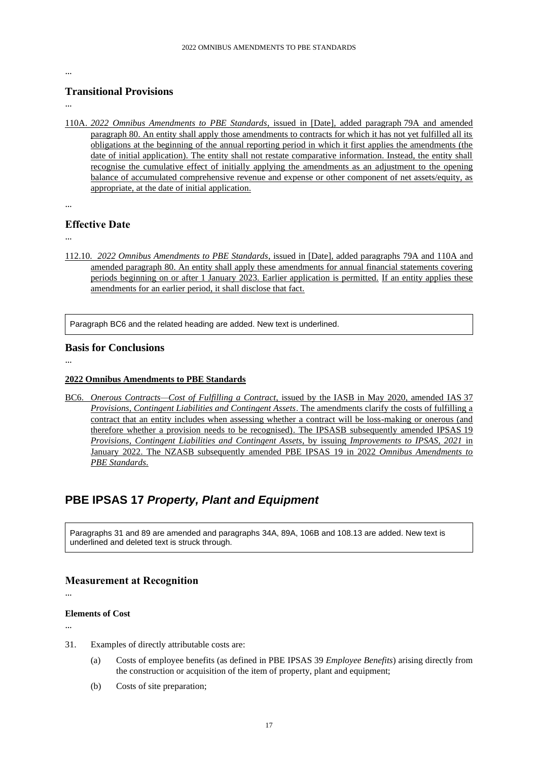…

## **Transitional Provisions**

- …
- 110A. *2022 Omnibus Amendments to PBE Standards*, issued in [Date], added paragraph 79A and amended paragraph 80. An entity shall apply those amendments to contracts for which it has not yet fulfilled all its obligations at the beginning of the annual reporting period in which it first applies the amendments (the date of initial application). The entity shall not restate comparative information. Instead, the entity shall recognise the cumulative effect of initially applying the amendments as an adjustment to the opening balance of accumulated comprehensive revenue and expense or other component of net assets/equity, as appropriate, at the date of initial application.

…

# **Effective Date**

…

112.10. *2022 Omnibus Amendments to PBE Standards*, issued in [Date], added paragraphs 79A and 110A and amended paragraph 80. An entity shall apply these amendments for annual financial statements covering periods beginning on or after 1 January 2023. Earlier application is permitted. If an entity applies these amendments for an earlier period, it shall disclose that fact.

Paragraph BC6 and the related heading are added. New text is underlined.

#### **Basis for Conclusions**

…

#### **2022 Omnibus Amendments to PBE Standards**

BC6. *Onerous Contracts—Cost of Fulfilling a Contract*, issued by the IASB in May 2020, amended IAS 37 *Provisions, Contingent Liabilities and Contingent Assets*. The amendments clarify the costs of fulfilling a contract that an entity includes when assessing whether a contract will be loss-making or onerous (and therefore whether a provision needs to be recognised). The IPSASB subsequently amended IPSAS 19 *Provisions, Contingent Liabilities and Contingent Assets*, by issuing *Improvements to IPSAS, 2021* in January 2022. The NZASB subsequently amended PBE IPSAS 19 in 2022 *Omnibus Amendments to PBE Standards*.

# **PBE IPSAS 17** *Property, Plant and Equipment*

Paragraphs 31 and 89 are amended and paragraphs 34A, 89A, 106B and 108.13 are added. New text is underlined and deleted text is struck through.

## **Measurement at Recognition**

…

#### **Elements of Cost**

…

- 31. Examples of directly attributable costs are:
	- (a) Costs of employee benefits (as defined in PBE IPSAS 39 *Employee Benefits*) arising directly from the construction or acquisition of the item of property, plant and equipment;
	- (b) Costs of site preparation;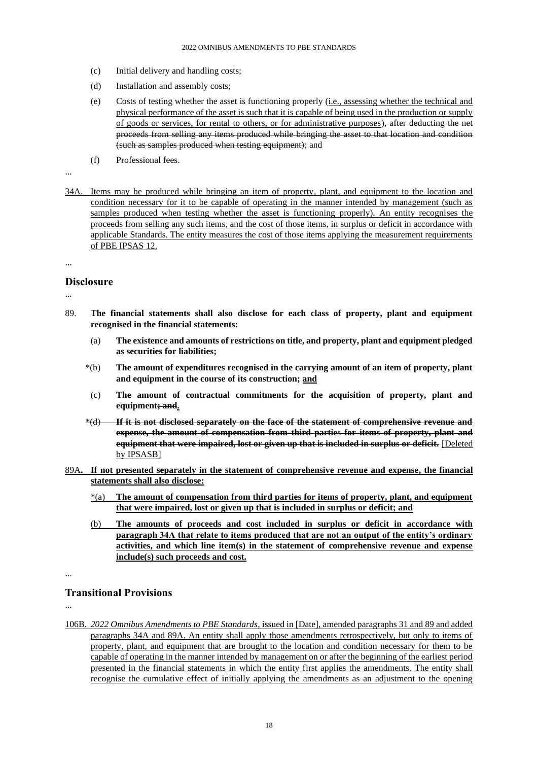- (c) Initial delivery and handling costs;
- (d) Installation and assembly costs;
- (e) Costs of testing whether the asset is functioning properly (i.e., assessing whether the technical and physical performance of the asset is such that it is capable of being used in the production or supply of goods or services, for rental to others, or for administrative purposes), after deducting the net proceeds from selling any items produced while bringing the asset to that location and condition (such as samples produced when testing equipment); and
- (f) Professional fees.

…

34A. Items may be produced while bringing an item of property, plant, and equipment to the location and condition necessary for it to be capable of operating in the manner intended by management (such as samples produced when testing whether the asset is functioning properly). An entity recognises the proceeds from selling any such items, and the cost of those items, in surplus or deficit in accordance with applicable Standards. The entity measures the cost of those items applying the measurement requirements of PBE IPSAS 12.

…

# **Disclosure**

…

- 89. **The financial statements shall also disclose for each class of property, plant and equipment recognised in the financial statements:**
	- (a) **The existence and amounts of restrictions on title, and property, plant and equipment pledged as securities for liabilities;**
	- \*(b) **The amount of expenditures recognised in the carrying amount of an item of property, plant and equipment in the course of its construction; and**
	- (c) **The amount of contractual commitments for the acquisition of property, plant and equipment; and.**
	- \*(d) **If it is not disclosed separately on the face of the statement of comprehensive revenue and expense, the amount of compensation from third parties for items of property, plant and equipment that were impaired, lost or given up that is included in surplus or deficit.** [Deleted by IPSASB]
- 89A**. If not presented separately in the statement of comprehensive revenue and expense, the financial statements shall also disclose:**
	- \*(a) **The amount of compensation from third parties for items of property, plant, and equipment that were impaired, lost or given up that is included in surplus or deficit; and**
	- (b) **The amounts of proceeds and cost included in surplus or deficit in accordance with paragraph 34A that relate to items produced that are not an output of the entity's ordinary activities, and which line item(s) in the statement of comprehensive revenue and expense include(s) such proceeds and cost.**

…

# **Transitional Provisions**

…

106B. *2022 Omnibus Amendments to PBE Standards*, issued in [Date], amended paragraphs 31 and 89 and added paragraphs 34A and 89A. An entity shall apply those amendments retrospectively, but only to items of property, plant, and equipment that are brought to the location and condition necessary for them to be capable of operating in the manner intended by management on or after the beginning of the earliest period presented in the financial statements in which the entity first applies the amendments. The entity shall recognise the cumulative effect of initially applying the amendments as an adjustment to the opening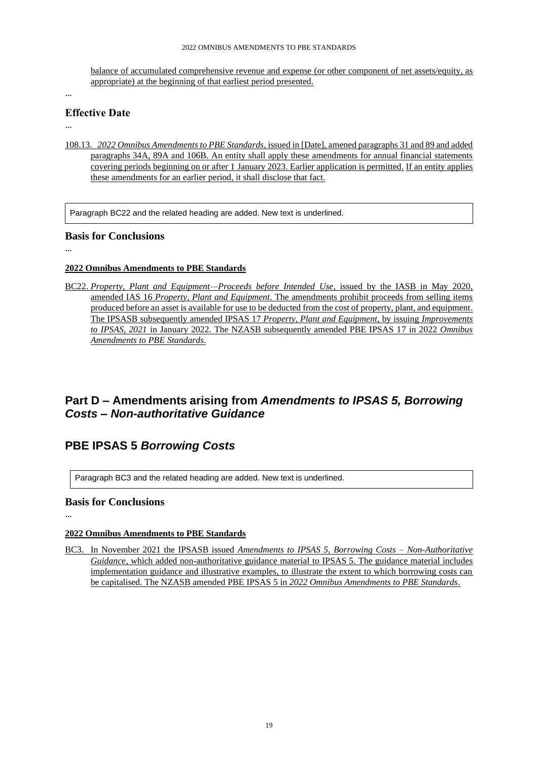balance of accumulated comprehensive revenue and expense (or other component of net assets/equity, as appropriate) at the beginning of that earliest period presented.

…

# **Effective Date**

…

108.13. *2022 Omnibus Amendments to PBE Standards*, issued in [Date], amened paragraphs 31 and 89 and added paragraphs 34A, 89A and 106B. An entity shall apply these amendments for annual financial statements covering periods beginning on or after 1 January 2023. Earlier application is permitted. If an entity applies these amendments for an earlier period, it shall disclose that fact.

Paragraph BC22 and the related heading are added. New text is underlined.

### **Basis for Conclusions**

…

#### **2022 Omnibus Amendments to PBE Standards**

BC22. *Property, Plant and Equipment—Proceeds before Intended Use*, issued by the IASB in May 2020, amended IAS 16 *Property, Plant and Equipment*. The amendments prohibit proceeds from selling items produced before an asset is available for use to be deducted from the cost of property, plant, and equipment. The IPSASB subsequently amended IPSAS 17 *Property, Plant and Equipment*, by issuing *Improvements to IPSAS, 2021* in January 2022. The NZASB subsequently amended PBE IPSAS 17 in 2022 *Omnibus Amendments to PBE Standards*.

# **Part D – Amendments arising from** *Amendments to IPSAS 5, Borrowing Costs – Non-authoritative Guidance*

# **PBE IPSAS 5** *Borrowing Costs*

Paragraph BC3 and the related heading are added. New text is underlined.

## **Basis for Conclusions**

…

#### **2022 Omnibus Amendments to PBE Standards**

BC3. In November 2021 the IPSASB issued *Amendments to IPSAS 5, Borrowing Costs – Non-Authoritative Guidance*, which added non-authoritative guidance material to IPSAS 5. The guidance material includes implementation guidance and illustrative examples, to illustrate the extent to which borrowing costs can be capitalised. The NZASB amended PBE IPSAS 5 in *2022 Omnibus Amendments to PBE Standards*.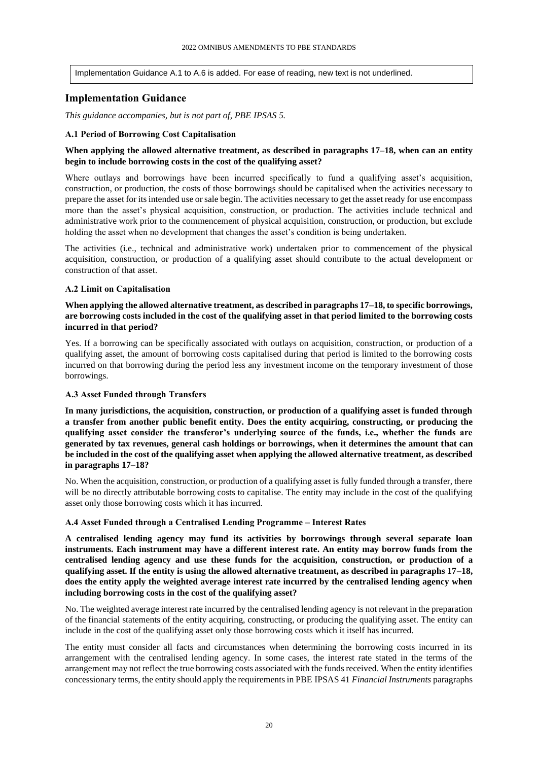Implementation Guidance A.1 to A.6 is added. For ease of reading, new text is not underlined.

### **Implementation Guidance**

*This guidance accompanies, but is not part of, PBE IPSAS 5.*

#### **A.1 Period of Borrowing Cost Capitalisation**

#### **When applying the allowed alternative treatment, as described in paragraphs 17–18, when can an entity begin to include borrowing costs in the cost of the qualifying asset?**

Where outlays and borrowings have been incurred specifically to fund a qualifying asset's acquisition, construction, or production, the costs of those borrowings should be capitalised when the activities necessary to prepare the asset for its intended use or sale begin. The activities necessary to get the asset ready for use encompass more than the asset's physical acquisition, construction, or production. The activities include technical and administrative work prior to the commencement of physical acquisition, construction, or production, but exclude holding the asset when no development that changes the asset's condition is being undertaken.

The activities (i.e., technical and administrative work) undertaken prior to commencement of the physical acquisition, construction, or production of a qualifying asset should contribute to the actual development or construction of that asset.

#### **A.2 Limit on Capitalisation**

#### **When applying the allowed alternative treatment, as described in paragraphs 17–18, to specific borrowings, are borrowing costs included in the cost of the qualifying asset in that period limited to the borrowing costs incurred in that period?**

Yes. If a borrowing can be specifically associated with outlays on acquisition, construction, or production of a qualifying asset, the amount of borrowing costs capitalised during that period is limited to the borrowing costs incurred on that borrowing during the period less any investment income on the temporary investment of those borrowings.

#### **A.3 Asset Funded through Transfers**

**In many jurisdictions, the acquisition, construction, or production of a qualifying asset is funded through a transfer from another public benefit entity. Does the entity acquiring, constructing, or producing the qualifying asset consider the transferor's underlying source of the funds, i.e., whether the funds are generated by tax revenues, general cash holdings or borrowings, when it determines the amount that can be included in the cost of the qualifying asset when applying the allowed alternative treatment, as described in paragraphs 17–18?**

No. When the acquisition, construction, or production of a qualifying asset is fully funded through a transfer, there will be no directly attributable borrowing costs to capitalise. The entity may include in the cost of the qualifying asset only those borrowing costs which it has incurred.

#### **A.4 Asset Funded through a Centralised Lending Programme – Interest Rates**

**A centralised lending agency may fund its activities by borrowings through several separate loan instruments. Each instrument may have a different interest rate. An entity may borrow funds from the centralised lending agency and use these funds for the acquisition, construction, or production of a qualifying asset. If the entity is using the allowed alternative treatment, as described in paragraphs 17–18, does the entity apply the weighted average interest rate incurred by the centralised lending agency when including borrowing costs in the cost of the qualifying asset?**

No. The weighted average interest rate incurred by the centralised lending agency is not relevant in the preparation of the financial statements of the entity acquiring, constructing, or producing the qualifying asset. The entity can include in the cost of the qualifying asset only those borrowing costs which it itself has incurred.

The entity must consider all facts and circumstances when determining the borrowing costs incurred in its arrangement with the centralised lending agency. In some cases, the interest rate stated in the terms of the arrangement may not reflect the true borrowing costs associated with the funds received. When the entity identifies concessionary terms, the entity should apply the requirements in PBE IPSAS 41 *Financial Instruments* paragraphs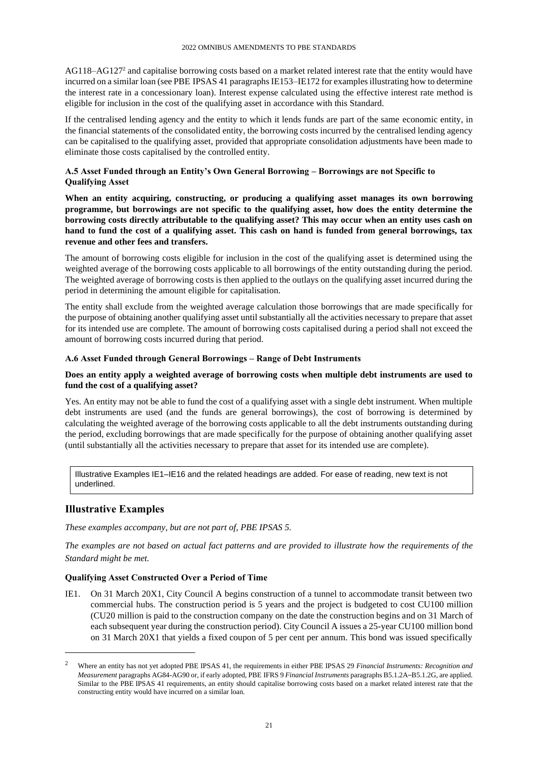$AG118-AG127<sup>2</sup>$  and capitalise borrowing costs based on a market related interest rate that the entity would have incurred on a similar loan (see PBE IPSAS 41 paragraphs IE153–IE172 for examples illustrating how to determine the interest rate in a concessionary loan). Interest expense calculated using the effective interest rate method is eligible for inclusion in the cost of the qualifying asset in accordance with this Standard.

If the centralised lending agency and the entity to which it lends funds are part of the same economic entity, in the financial statements of the consolidated entity, the borrowing costs incurred by the centralised lending agency can be capitalised to the qualifying asset, provided that appropriate consolidation adjustments have been made to eliminate those costs capitalised by the controlled entity.

#### **A.5 Asset Funded through an Entity's Own General Borrowing – Borrowings are not Specific to Qualifying Asset**

**When an entity acquiring, constructing, or producing a qualifying asset manages its own borrowing programme, but borrowings are not specific to the qualifying asset, how does the entity determine the borrowing costs directly attributable to the qualifying asset? This may occur when an entity uses cash on hand to fund the cost of a qualifying asset. This cash on hand is funded from general borrowings, tax revenue and other fees and transfers.** 

The amount of borrowing costs eligible for inclusion in the cost of the qualifying asset is determined using the weighted average of the borrowing costs applicable to all borrowings of the entity outstanding during the period. The weighted average of borrowing costs is then applied to the outlays on the qualifying asset incurred during the period in determining the amount eligible for capitalisation.

The entity shall exclude from the weighted average calculation those borrowings that are made specifically for the purpose of obtaining another qualifying asset until substantially all the activities necessary to prepare that asset for its intended use are complete. The amount of borrowing costs capitalised during a period shall not exceed the amount of borrowing costs incurred during that period.

#### **A.6 Asset Funded through General Borrowings – Range of Debt Instruments**

#### **Does an entity apply a weighted average of borrowing costs when multiple debt instruments are used to fund the cost of a qualifying asset?**

Yes. An entity may not be able to fund the cost of a qualifying asset with a single debt instrument. When multiple debt instruments are used (and the funds are general borrowings), the cost of borrowing is determined by calculating the weighted average of the borrowing costs applicable to all the debt instruments outstanding during the period, excluding borrowings that are made specifically for the purpose of obtaining another qualifying asset (until substantially all the activities necessary to prepare that asset for its intended use are complete).

Illustrative Examples IE1–IE16 and the related headings are added. For ease of reading, new text is not underlined.

## **Illustrative Examples**

*These examples accompany, but are not part of, PBE IPSAS 5.*

*The examples are not based on actual fact patterns and are provided to illustrate how the requirements of the Standard might be met.*

#### **Qualifying Asset Constructed Over a Period of Time**

IE1. On 31 March 20X1, City Council A begins construction of a tunnel to accommodate transit between two commercial hubs. The construction period is 5 years and the project is budgeted to cost CU100 million (CU20 million is paid to the construction company on the date the construction begins and on 31 March of each subsequent year during the construction period). City Council A issues a 25-year CU100 million bond on 31 March 20X1 that yields a fixed coupon of 5 per cent per annum. This bond was issued specifically

<sup>2</sup> Where an entity has not yet adopted PBE IPSAS 41, the requirements in either PBE IPSAS 29 *Financial Instruments: Recognition and Measurement* paragraphs AG84-AG90 or, if early adopted, PBE IFRS 9 *Financial Instruments* paragraphs B5.1.2A–B5.1.2G, are applied. Similar to the PBE IPSAS 41 requirements, an entity should capitalise borrowing costs based on a market related interest rate that the constructing entity would have incurred on a similar loan.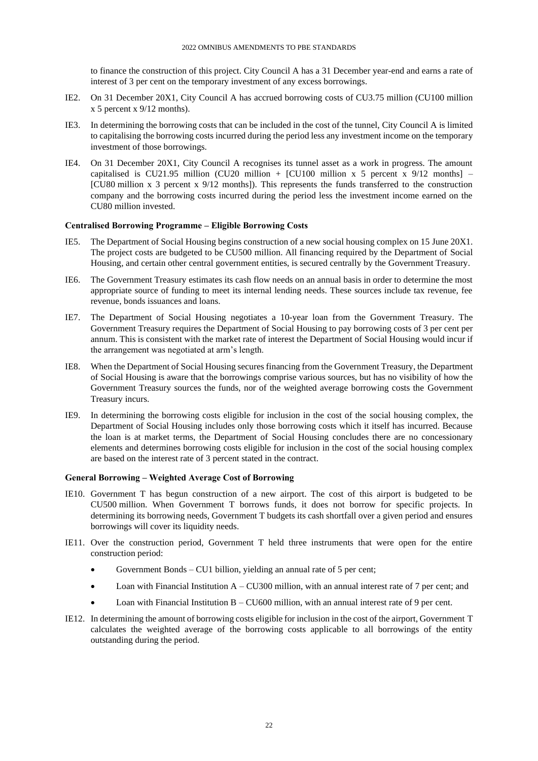to finance the construction of this project. City Council A has a 31 December year-end and earns a rate of interest of 3 per cent on the temporary investment of any excess borrowings.

- IE2. On 31 December 20X1, City Council A has accrued borrowing costs of CU3.75 million (CU100 million x 5 percent x 9/12 months).
- IE3. In determining the borrowing costs that can be included in the cost of the tunnel, City Council A is limited to capitalising the borrowing costs incurred during the period less any investment income on the temporary investment of those borrowings.
- IE4. On 31 December 20X1, City Council A recognises its tunnel asset as a work in progress. The amount capitalised is CU21.95 million (CU20 million + [CU100 million x 5 percent x  $9/12$  months] – [CU80 million x 3 percent x 9/12 months]). This represents the funds transferred to the construction company and the borrowing costs incurred during the period less the investment income earned on the CU80 million invested.

#### **Centralised Borrowing Programme – Eligible Borrowing Costs**

- IE5. The Department of Social Housing begins construction of a new social housing complex on 15 June 20X1. The project costs are budgeted to be CU500 million. All financing required by the Department of Social Housing, and certain other central government entities, is secured centrally by the Government Treasury.
- IE6. The Government Treasury estimates its cash flow needs on an annual basis in order to determine the most appropriate source of funding to meet its internal lending needs. These sources include tax revenue, fee revenue, bonds issuances and loans.
- IE7. The Department of Social Housing negotiates a 10-year loan from the Government Treasury. The Government Treasury requires the Department of Social Housing to pay borrowing costs of 3 per cent per annum. This is consistent with the market rate of interest the Department of Social Housing would incur if the arrangement was negotiated at arm's length.
- IE8. When the Department of Social Housing secures financing from the Government Treasury, the Department of Social Housing is aware that the borrowings comprise various sources, but has no visibility of how the Government Treasury sources the funds, nor of the weighted average borrowing costs the Government Treasury incurs.
- IE9. In determining the borrowing costs eligible for inclusion in the cost of the social housing complex, the Department of Social Housing includes only those borrowing costs which it itself has incurred. Because the loan is at market terms, the Department of Social Housing concludes there are no concessionary elements and determines borrowing costs eligible for inclusion in the cost of the social housing complex are based on the interest rate of 3 percent stated in the contract.

#### **General Borrowing – Weighted Average Cost of Borrowing**

- IE10. Government T has begun construction of a new airport. The cost of this airport is budgeted to be CU500 million. When Government T borrows funds, it does not borrow for specific projects. In determining its borrowing needs, Government T budgets its cash shortfall over a given period and ensures borrowings will cover its liquidity needs.
- IE11. Over the construction period, Government T held three instruments that were open for the entire construction period:
	- Government Bonds CU1 billion, yielding an annual rate of 5 per cent;
	- Loan with Financial Institution  $A CU300$  million, with an annual interest rate of 7 per cent; and
	- Loan with Financial Institution  $B CU600$  million, with an annual interest rate of 9 per cent.
- IE12. In determining the amount of borrowing costs eligible for inclusion in the cost of the airport, Government T calculates the weighted average of the borrowing costs applicable to all borrowings of the entity outstanding during the period.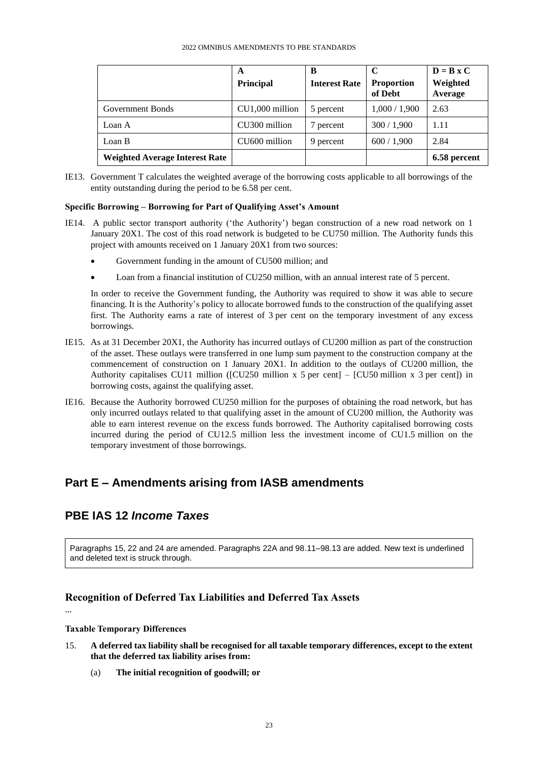|                                       | A                         | B                    |                              | $D = B \times C$    |
|---------------------------------------|---------------------------|----------------------|------------------------------|---------------------|
|                                       | Principal                 | <b>Interest Rate</b> | <b>Proportion</b><br>of Debt | Weighted<br>Average |
| <b>Government Bonds</b>               | CU1,000 million           | 5 percent            | 1,000/1,900                  | 2.63                |
| Loan A                                | CU300 million             | 7 percent            | 300/1,900                    | 1.11                |
| Loan B                                | CU <sub>600</sub> million | 9 percent            | 600/1,900                    | 2.84                |
| <b>Weighted Average Interest Rate</b> |                           |                      |                              | 6.58 percent        |

IE13. Government T calculates the weighted average of the borrowing costs applicable to all borrowings of the entity outstanding during the period to be 6.58 per cent.

#### **Specific Borrowing – Borrowing for Part of Qualifying Asset's Amount**

- IE14. A public sector transport authority ('the Authority') began construction of a new road network on 1 January 20X1. The cost of this road network is budgeted to be CU750 million. The Authority funds this project with amounts received on 1 January 20X1 from two sources:
	- Government funding in the amount of CU500 million; and
	- Loan from a financial institution of CU250 million, with an annual interest rate of 5 percent.

In order to receive the Government funding, the Authority was required to show it was able to secure financing. It is the Authority's policy to allocate borrowed funds to the construction of the qualifying asset first. The Authority earns a rate of interest of 3 per cent on the temporary investment of any excess borrowings.

- IE15. As at 31 December 20X1, the Authority has incurred outlays of CU200 million as part of the construction of the asset. These outlays were transferred in one lump sum payment to the construction company at the commencement of construction on 1 January 20X1. In addition to the outlays of CU200 million, the Authority capitalises CU11 million ([CU250 million x 5 per cent] – [CU50 million x 3 per cent]) in borrowing costs, against the qualifying asset.
- IE16. Because the Authority borrowed CU250 million for the purposes of obtaining the road network, but has only incurred outlays related to that qualifying asset in the amount of CU200 million, the Authority was able to earn interest revenue on the excess funds borrowed. The Authority capitalised borrowing costs incurred during the period of CU12.5 million less the investment income of CU1.5 million on the temporary investment of those borrowings.

# **Part E – Amendments arising from IASB amendments**

# **PBE IAS 12** *Income Taxes*

Paragraphs 15, 22 and 24 are amended. Paragraphs 22A and 98.11–98.13 are added. New text is underlined and deleted text is struck through.

# **Recognition of Deferred Tax Liabilities and Deferred Tax Assets**

#### **Taxable Temporary Differences**

…

- 15. **A deferred tax liability shall be recognised for all taxable temporary differences, except to the extent that the deferred tax liability arises from:**
	- (a) **The initial recognition of goodwill; or**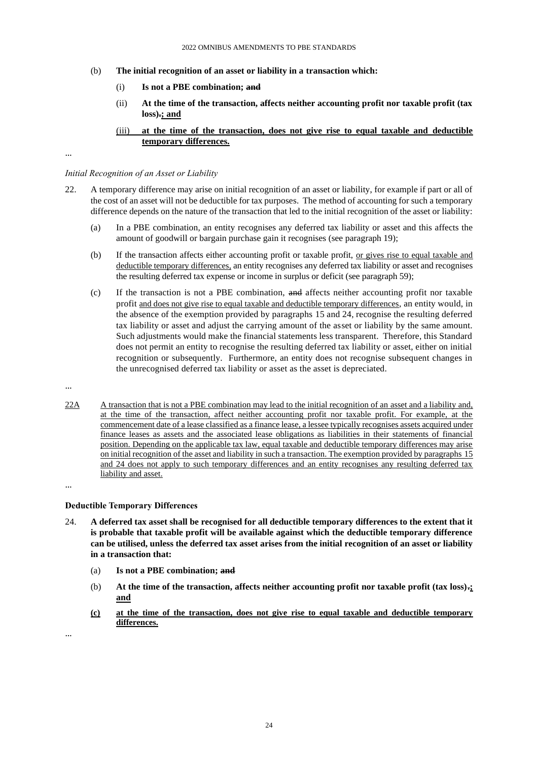- (b) **The initial recognition of an asset or liability in a transaction which:**
	- (i) **Is not a PBE combination; and**
	- (ii) **At the time of the transaction, affects neither accounting profit nor taxable profit (tax loss).; and**
	- (iii) **at the time of the transaction, does not give rise to equal taxable and deductible temporary differences.**

…

#### *Initial Recognition of an Asset or Liability*

- 22. A temporary difference may arise on initial recognition of an asset or liability, for example if part or all of the cost of an asset will not be deductible for tax purposes. The method of accounting for such a temporary difference depends on the nature of the transaction that led to the initial recognition of the asset or liability:
	- (a) In a PBE combination, an entity recognises any deferred tax liability or asset and this affects the amount of goodwill or bargain purchase gain it recognises (see paragraph 19);
	- (b) If the transaction affects either accounting profit or taxable profit, or gives rise to equal taxable and deductible temporary differences, an entity recognises any deferred tax liability or asset and recognises the resulting deferred tax expense or income in surplus or deficit (see paragraph 59);
	- (c) If the transaction is not a PBE combination, and affects neither accounting profit nor taxable profit and does not give rise to equal taxable and deductible temporary differences, an entity would, in the absence of the exemption provided by paragraphs 15 and 24, recognise the resulting deferred tax liability or asset and adjust the carrying amount of the asset or liability by the same amount. Such adjustments would make the financial statements less transparent. Therefore, this Standard does not permit an entity to recognise the resulting deferred tax liability or asset, either on initial recognition or subsequently. Furthermore, an entity does not recognise subsequent changes in the unrecognised deferred tax liability or asset as the asset is depreciated.
- …
- 22A A transaction that is not a PBE combination may lead to the initial recognition of an asset and a liability and, at the time of the transaction, affect neither accounting profit nor taxable profit. For example, at the commencement date of a lease classified as a finance lease, a lessee typically recognises assets acquired under finance leases as assets and the associated lease obligations as liabilities in their statements of financial position. Depending on the applicable tax law, equal taxable and deductible temporary differences may arise on initial recognition of the asset and liability in such a transaction. The exemption provided by paragraphs 15 and 24 does not apply to such temporary differences and an entity recognises any resulting deferred tax liability and asset.
- …

…

#### **Deductible Temporary Differences**

- 24. **A deferred tax asset shall be recognised for all deductible temporary differences to the extent that it is probable that taxable profit will be available against which the deductible temporary difference can be utilised, unless the deferred tax asset arises from the initial recognition of an asset or liability in a transaction that:**
	- (a) **Is not a PBE combination; and**
	- (b) **At the time of the transaction, affects neither accounting profit nor taxable profit (tax loss).; and**
	- **(c) at the time of the transaction, does not give rise to equal taxable and deductible temporary differences.**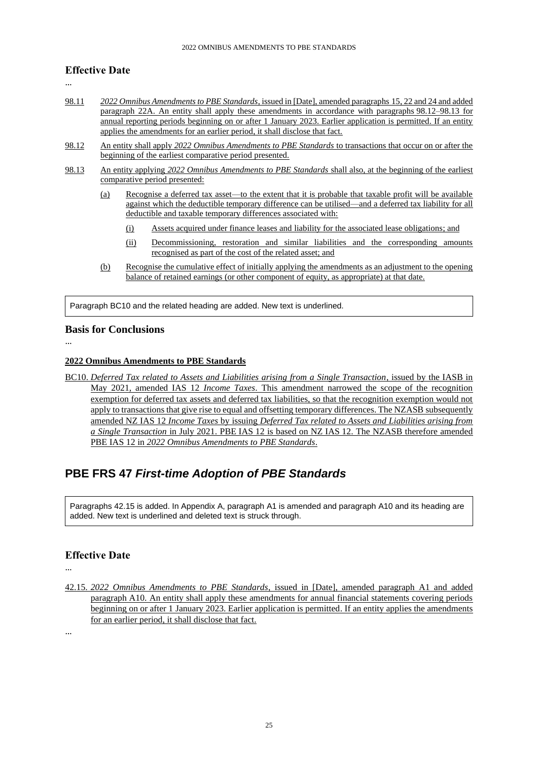# **Effective Date**

…

- 98.11 *2022 Omnibus Amendments to PBE Standards*, issued in [Date], amended paragraphs 15, 22 and 24 and added paragraph 22A. An entity shall apply these amendments in accordance with paragraphs 98.12–98.13 for annual reporting periods beginning on or after 1 January 2023. Earlier application is permitted. If an entity applies the amendments for an earlier period, it shall disclose that fact.
- 98.12 An entity shall apply *2022 Omnibus Amendments to PBE Standards* to transactions that occur on or after the beginning of the earliest comparative period presented.
- 98.13 An entity applying *2022 Omnibus Amendments to PBE Standards* shall also, at the beginning of the earliest comparative period presented:
	- (a) Recognise a deferred tax asset—to the extent that it is probable that taxable profit will be available against which the deductible temporary difference can be utilised—and a deferred tax liability for all deductible and taxable temporary differences associated with:
		- (i) Assets acquired under finance leases and liability for the associated lease obligations; and
		- (ii) Decommissioning, restoration and similar liabilities and the corresponding amounts recognised as part of the cost of the related asset; and
	- (b) Recognise the cumulative effect of initially applying the amendments as an adjustment to the opening balance of retained earnings (or other component of equity, as appropriate) at that date.

Paragraph BC10 and the related heading are added. New text is underlined.

# **Basis for Conclusions**

…

#### **2022 Omnibus Amendments to PBE Standards**

BC10. *Deferred Tax related to Assets and Liabilities arising from a Single Transaction*, issued by the IASB in May 2021, amended IAS 12 *Income Taxes*. This amendment narrowed the scope of the recognition exemption for deferred tax assets and deferred tax liabilities, so that the recognition exemption would not apply to transactions that give rise to equal and offsetting temporary differences. The NZASB subsequently amended NZ IAS 12 *Income Taxes* by issuing *Deferred Tax related to Assets and Liabilities arising from a Single Transaction* in July 2021. PBE IAS 12 is based on NZ IAS 12. The NZASB therefore amended PBE IAS 12 in *2022 Omnibus Amendments to PBE Standards*.

# **PBE FRS 47** *First-time Adoption of PBE Standards*

Paragraphs 42.15 is added. In Appendix A, paragraph A1 is amended and paragraph A10 and its heading are added. New text is underlined and deleted text is struck through.

# **Effective Date**

…

…

42.15. *2022 Omnibus Amendments to PBE Standards*, issued in [Date], amended paragraph A1 and added paragraph A10. An entity shall apply these amendments for annual financial statements covering periods beginning on or after 1 January 2023. Earlier application is permitted. If an entity applies the amendments for an earlier period, it shall disclose that fact.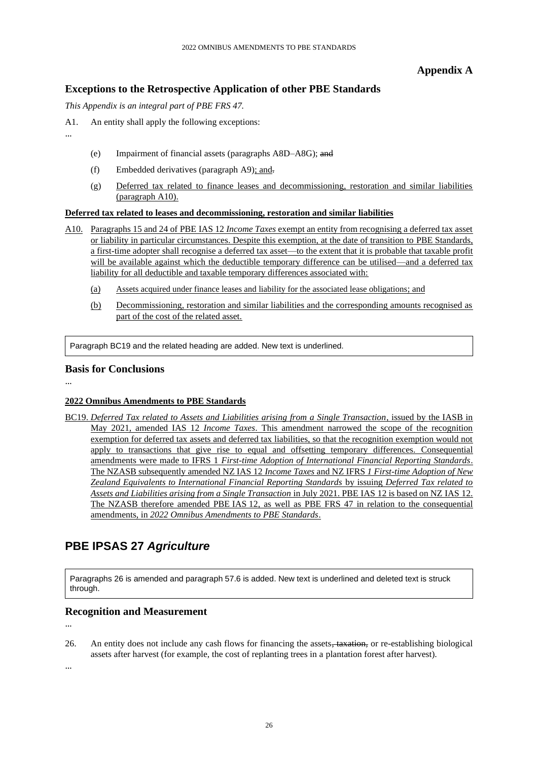# **Appendix A**

# **Exceptions to the Retrospective Application of other PBE Standards**

*This Appendix is an integral part of PBE FRS 47.* 

- A1. An entity shall apply the following exceptions:
- …
- (e) Impairment of financial assets (paragraphs A8D–A8G); and
- (f) Embedded derivatives (paragraph A9); and.
- (g) Deferred tax related to finance leases and decommissioning, restoration and similar liabilities (paragraph A10).

#### **Deferred tax related to leases and decommissioning, restoration and similar liabilities**

- A10. Paragraphs 15 and 24 of PBE IAS 12 *Income Taxes* exempt an entity from recognising a deferred tax asset or liability in particular circumstances. Despite this exemption, at the date of transition to PBE Standards, a first-time adopter shall recognise a deferred tax asset—to the extent that it is probable that taxable profit will be available against which the deductible temporary difference can be utilised—and a deferred tax liability for all deductible and taxable temporary differences associated with:
	- (a) Assets acquired under finance leases and liability for the associated lease obligations; and
	- (b) Decommissioning, restoration and similar liabilities and the corresponding amounts recognised as part of the cost of the related asset.

Paragraph BC19 and the related heading are added. New text is underlined.

#### **Basis for Conclusions**

…

#### **2022 Omnibus Amendments to PBE Standards**

BC19. *Deferred Tax related to Assets and Liabilities arising from a Single Transaction*, issued by the IASB in May 2021, amended IAS 12 *Income Taxes*. This amendment narrowed the scope of the recognition exemption for deferred tax assets and deferred tax liabilities, so that the recognition exemption would not apply to transactions that give rise to equal and offsetting temporary differences. Consequential amendments were made to IFRS 1 *First-time Adoption of International Financial Reporting Standards*. The NZASB subsequently amended NZ IAS 12 *Income Taxes* and NZ IFRS *1 First-time Adoption of New Zealand Equivalents to International Financial Reporting Standards* by issuing *Deferred Tax related to Assets and Liabilities arising from a Single Transaction* in July 2021. PBE IAS 12 is based on NZ IAS 12. The NZASB therefore amended PBE IAS 12, as well as PBE FRS 47 in relation to the consequential amendments, in *2022 Omnibus Amendments to PBE Standards*.

# **PBE IPSAS 27** *Agriculture*

Paragraphs 26 is amended and paragraph 57.6 is added. New text is underlined and deleted text is struck through.

## **Recognition and Measurement**

…

26. An entity does not include any cash flows for financing the assets, taxation, or re-establishing biological assets after harvest (for example, the cost of replanting trees in a plantation forest after harvest).

…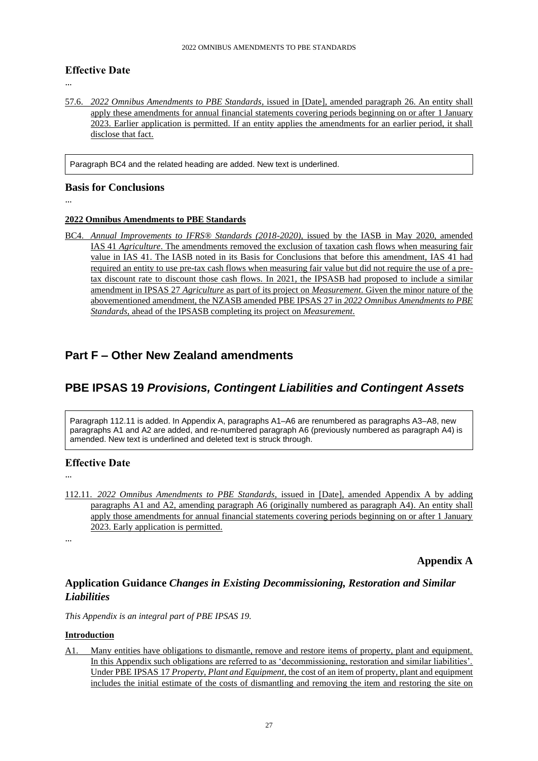# **Effective Date**

…

57.6. *2022 Omnibus Amendments to PBE Standards*, issued in [Date], amended paragraph 26. An entity shall apply these amendments for annual financial statements covering periods beginning on or after 1 January 2023. Earlier application is permitted. If an entity applies the amendments for an earlier period, it shall disclose that fact.

Paragraph BC4 and the related heading are added. New text is underlined.

# **Basis for Conclusions**

…

## **2022 Omnibus Amendments to PBE Standards**

BC4. *Annual Improvements to IFRS® Standards (2018-2020)*, issued by the IASB in May 2020, amended IAS 41 *Agriculture*. The amendments removed the exclusion of taxation cash flows when measuring fair value in IAS 41. The IASB noted in its Basis for Conclusions that before this amendment, IAS 41 had required an entity to use pre-tax cash flows when measuring fair value but did not require the use of a pretax discount rate to discount those cash flows. In 2021, the IPSASB had proposed to include a similar amendment in IPSAS 27 *Agriculture* as part of its project on *Measurement*. Given the minor nature of the abovementioned amendment, the NZASB amended PBE IPSAS 27 in *2022 Omnibus Amendments to PBE Standards*, ahead of the IPSASB completing its project on *Measurement*.

# **Part F – Other New Zealand amendments**

# **PBE IPSAS 19** *Provisions, Contingent Liabilities and Contingent Assets*

Paragraph 112.11 is added. In Appendix A, paragraphs A1–A6 are renumbered as paragraphs A3–A8, new paragraphs A1 and A2 are added, and re-numbered paragraph A6 (previously numbered as paragraph A4) is amended. New text is underlined and deleted text is struck through.

# **Effective Date**

…

112.11. *2022 Omnibus Amendments to PBE Standards,* issued in [Date], amended Appendix A by adding paragraphs A1 and A2, amending paragraph A6 (originally numbered as paragraph A4). An entity shall apply those amendments for annual financial statements covering periods beginning on or after 1 January 2023. Early application is permitted.

…

## **Appendix A**

# **Application Guidance** *Changes in Existing Decommissioning, Restoration and Similar Liabilities*

*This Appendix is an integral part of PBE IPSAS 19.*

## **Introduction**

A1. Many entities have obligations to dismantle, remove and restore items of property, plant and equipment. In this Appendix such obligations are referred to as 'decommissioning, restoration and similar liabilities'. Under PBE IPSAS 17 *Property, Plant and Equipment*, the cost of an item of property, plant and equipment includes the initial estimate of the costs of dismantling and removing the item and restoring the site on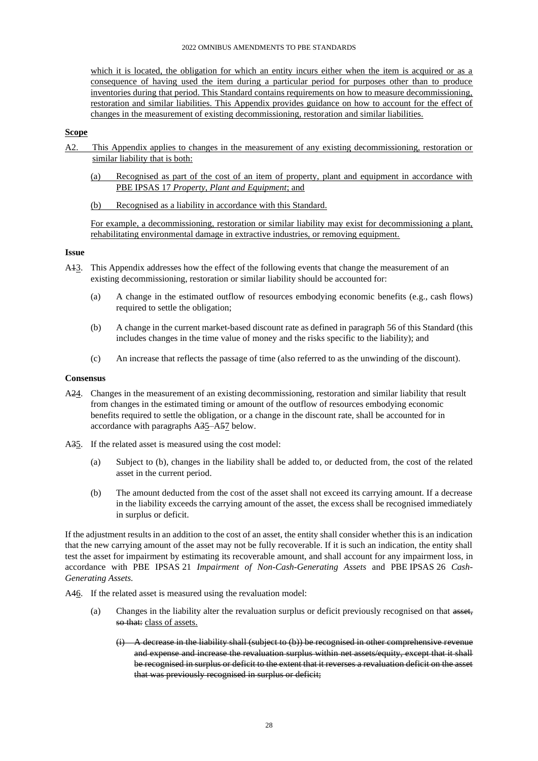which it is located, the obligation for which an entity incurs either when the item is acquired or as a consequence of having used the item during a particular period for purposes other than to produce inventories during that period. This Standard contains requirements on how to measure decommissioning, restoration and similar liabilities. This Appendix provides guidance on how to account for the effect of changes in the measurement of existing decommissioning, restoration and similar liabilities.

## **Scope**

- A2. This Appendix applies to changes in the measurement of any existing decommissioning, restoration or similar liability that is both:
	- (a) Recognised as part of the cost of an item of property, plant and equipment in accordance with PBE IPSAS 17 *Property, Plant and Equipment*; and
	- (b) Recognised as a liability in accordance with this Standard.

For example, a decommissioning, restoration or similar liability may exist for decommissioning a plant, rehabilitating environmental damage in extractive industries, or removing equipment.

## **Issue**

- A13. This Appendix addresses how the effect of the following events that change the measurement of an existing decommissioning, restoration or similar liability should be accounted for:
	- (a) A change in the estimated outflow of resources embodying economic benefits (e.g., cash flows) required to settle the obligation;
	- (b) A change in the current market-based discount rate as defined in paragraph 56 of this Standard (this includes changes in the time value of money and the risks specific to the liability); and
	- (c) An increase that reflects the passage of time (also referred to as the unwinding of the discount).

#### **Consensus**

- A24. Changes in the measurement of an existing decommissioning, restoration and similar liability that result from changes in the estimated timing or amount of the outflow of resources embodying economic benefits required to settle the obligation, or a change in the discount rate, shall be accounted for in accordance with paragraphs A35–A57 below.
- A35. If the related asset is measured using the cost model:
	- (a) Subject to (b), changes in the liability shall be added to, or deducted from, the cost of the related asset in the current period.
	- (b) The amount deducted from the cost of the asset shall not exceed its carrying amount. If a decrease in the liability exceeds the carrying amount of the asset, the excess shall be recognised immediately in surplus or deficit.

If the adjustment results in an addition to the cost of an asset, the entity shall consider whether this is an indication that the new carrying amount of the asset may not be fully recoverable. If it is such an indication, the entity shall test the asset for impairment by estimating its recoverable amount, and shall account for any impairment loss, in accordance with PBE IPSAS 21 *Impairment of Non-Cash-Generating Assets* and PBE IPSAS 26 *Cash-Generating Assets.*

A46. If the related asset is measured using the revaluation model:

- (a) Changes in the liability alter the revaluation surplus or deficit previously recognised on that asset, so that: class of assets.
	- (i) A decrease in the liability shall (subject to  $(b)$ ) be recognised in other comprehensive revenue and expense and increase the revaluation surplus within net assets/equity, except that it shall be recognised in surplus or deficit to the extent that it reverses a revaluation deficit on the asset that was previously recognised in surplus or deficit;